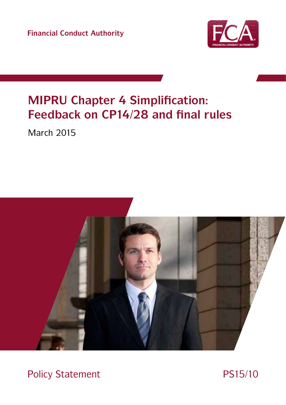**Financial Conduct Authority**



# **MIPRU Chapter 4 Simplification: Feedback on CP14/28 and final rules**

March 2015



Policy Statement PS15/10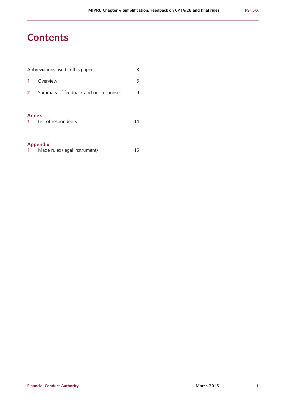## **Contents**

|                              | Abbreviations used in this paper      | 3  |  |
|------------------------------|---------------------------------------|----|--|
|                              | Overview                              | 5  |  |
| 2                            | Summary of feedback and our responses |    |  |
| <b>Annex</b><br>$\mathbf{1}$ | List of respondents                   | 14 |  |
| <b>Appendix</b>              |                                       |    |  |

| Made rules (legal instrument) |  |
|-------------------------------|--|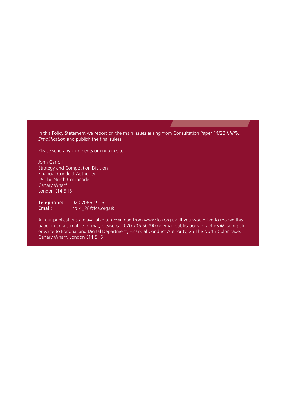In this Policy Statement we report on the main issues arising from Consultation Paper 14/28 *MIPRU Simplification* and publish the final ruless.

Please send any comments or enquiries to:

John Carroll Strategy and Competition Division Financial Conduct Authority 25 The North Colonnade Canary Wharf London E14 5HS

**Telephone:** 020 7066 1906<br>**Email:** cp14 28@fca.or **Email:** [cp14\\_28@fca.org.uk](mailto:cp14_28%40fca.org.uk?subject=)

All our publications are available to download from [www.fca.org.uk.](http://www.fca.org.uk) If you would like to receive this paper in an alternative format, please call 020 706 60790 or email [publications\\_graphics @fca.org.uk](mailto:publications_graphics%20%40fca.org.uk?subject=Alternative%20Format%20request) or write to Editorial and Digital Department, Financial Conduct Authority, 25 The North Colonnade, Canary Wharf, London E14 5HS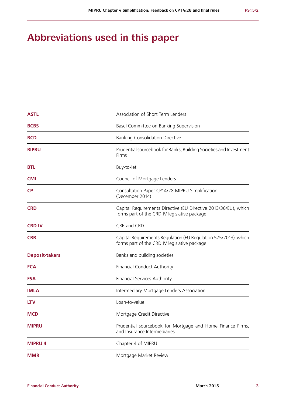## **Abbreviations used in this paper**

| <b>ASTL</b><br>Association of Short Term Lenders                                                                              |                                                                                                                 |  |  |
|-------------------------------------------------------------------------------------------------------------------------------|-----------------------------------------------------------------------------------------------------------------|--|--|
| <b>BCBS</b><br>Basel Committee on Banking Supervision                                                                         |                                                                                                                 |  |  |
| <b>BCD</b>                                                                                                                    | <b>Banking Consolidation Directive</b>                                                                          |  |  |
| Prudential sourcebook for Banks, Building Societies and Investment<br><b>BIPRU</b><br>Firms                                   |                                                                                                                 |  |  |
| <b>BTL</b>                                                                                                                    | Buy-to-let                                                                                                      |  |  |
| <b>CML</b>                                                                                                                    | Council of Mortgage Lenders                                                                                     |  |  |
| <b>CP</b><br>Consultation Paper CP14/28 MIPRU Simplification<br>(December 2014)                                               |                                                                                                                 |  |  |
| <b>CRD</b><br>Capital Requirements Directive (EU Directive 2013/36/EU), which<br>forms part of the CRD IV legislative package |                                                                                                                 |  |  |
| <b>CRD IV</b>                                                                                                                 | CRR and CRD                                                                                                     |  |  |
| <b>CRR</b>                                                                                                                    | Capital Requirements Regulation (EU Regulation 575/2013), which<br>forms part of the CRD IV legislative package |  |  |
| <b>Deposit-takers</b>                                                                                                         | Banks and building societies                                                                                    |  |  |
| <b>FCA</b><br><b>Financial Conduct Authority</b>                                                                              |                                                                                                                 |  |  |
| <b>FSA</b><br><b>Financial Services Authority</b>                                                                             |                                                                                                                 |  |  |
| <b>IMLA</b>                                                                                                                   | Intermediary Mortgage Lenders Association                                                                       |  |  |
| <b>LTV</b>                                                                                                                    | Loan-to-value                                                                                                   |  |  |
| MCD                                                                                                                           | Mortgage Credit Directive                                                                                       |  |  |
| <b>MIPRU</b>                                                                                                                  | Prudential sourcebook for Mortgage and Home Finance Firms,<br>and Insurance Intermediaries                      |  |  |
| <b>MIPRU 4</b>                                                                                                                | Chapter 4 of MIPRU                                                                                              |  |  |
| <b>MMR</b>                                                                                                                    | Mortgage Market Review                                                                                          |  |  |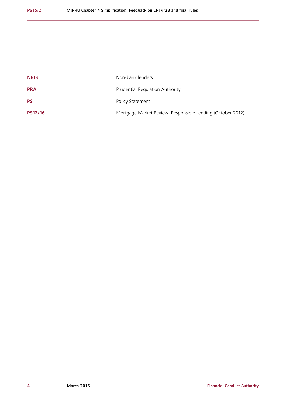| <b>NBLs</b>    | Non-bank lenders                                           |
|----------------|------------------------------------------------------------|
| <b>PRA</b>     | Prudential Regulation Authority                            |
| <b>PS</b>      | Policy Statement                                           |
| <b>PS12/16</b> | Mortgage Market Review: Responsible Lending (October 2012) |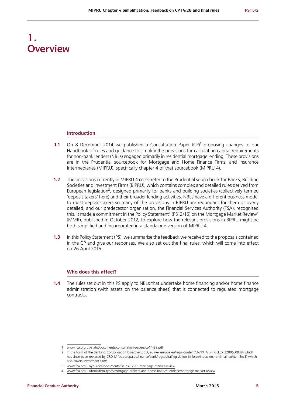## **1. Overview**

#### **Introduction**

- **1.1** On 8 December 2014 we published a Consultation Paper (CP)<sup>1</sup> proposing changes to our Handbook of rules and guidance to simplify the provisions for calculating capital requirements for non-bank lenders (NBLs) engaged primarily in residential mortgage lending. These provisions are in the Prudential sourcebook for Mortgage and Home Finance Firms, and Insurance Intermediaries (MIPRU), specifically chapter 4 of that sourcebook (MIPRU 4).
- **1.2** The provisions currently in MIPRU 4 cross-refer to the Prudential sourcebook for Banks, Building Societies and Investment Firms (BIPRU), which contains complex and detailed rules derived from European legislation<sup>2</sup>, designed primarily for banks and building societies (collectively termed 'deposit-takers' here) and their broader lending activities. NBLs have a different business model to most deposit-takers so many of the provisions in BIPRU are redundant for them or overly detailed, and our predecessor organisation, the Financial Services Authority (FSA), recognised this. It made a commitment in the Policy Statement<sup>3</sup> (PS12/16) on the Mortgage Market Review<sup>4</sup> (MMR), published in October 2012, to explore how the relevant provisions in BIPRU might be both simplified and incorporated in a standalone version of MIPRU 4.
- **1.3** In this Policy Statement (PS), we summarise the feedback we received to the proposals contained in the CP and give our responses. We also set out the final rules, which will come into effect on 26 April 2015.

### **Who does this affect?**

**1.4** The rules set out in this PS apply to NBLs that undertake home financing and/or home finance administration (with assets on the balance sheet) that is connected to regulated mortgage contracts.

<sup>1</sup> [www.fca.org.uk/static/documents/consultation-papers/cp14-28.pdf](http://www.fca.org.uk/static/documents/consultation-papers/cp14-28.pdf)

<sup>2</sup> In the form of the Banking Consolidation Directive (BCD, [eur-lex.europa.eu/legal-content/EN/TXT/?uri=CELEX:32006L0048](http://eur-lex.europa.eu/legal-content/EN/TXT/?uri=CELEX:32006L0048)) which has since been replaced by CRD IV (ec.europa.eu/finance/bank/regcapital/legislation-in-force/index\_en.htm#maincontentSec1) which also covers investment firms.

<sup>3</sup> [www.fca.org.uk/your-fca/documents/fsa-ps-12-16-mortgage-market-review](file:///C:\Users\jcarroll2\AppData\Roaming\OTLocal\PRODRM\Workbin\1D91C00.0\www.fca.org.uk\your-fca\documents\fsa-ps-12-16-mortgage-market-review)

<sup>4</sup> [www.fca.org.uk/firms/firm-types/mortgage-brokers-and-home-finance-lenders/mortgage-market-review](file:///C:\Users\jcarroll2\AppData\Roaming\OTLocal\PRODRM\Workbin\1D91C00.0\www.fca.org.uk\firms\firm-types\mortgage-brokers-and-home-finance-lenders\mortgage-market-review)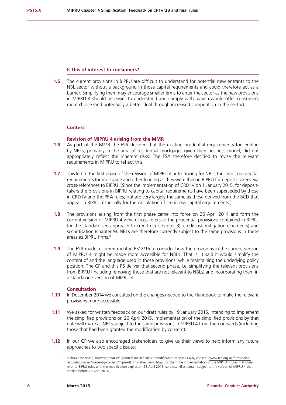#### **Is this of interest to consumers?**

**1.5** The current provisions in BIPRU are difficult to understand for potential new entrants to the NBL sector without a background in those capital requirements and could therefore act as a barrier. Simplifying them may encourage smaller firms to enter the sector as the new provisions in MIPRU 4 should be easier to understand and comply with, which would offer consumers more choice (and potentially a better deal through increased competition in the sector).

#### **Context**

#### **Revision of MIPRU 4 arising from the MMR**

- **1.6** As part of the MMR the FSA decided that the existing prudential requirements for lending by NBLs, primarily in the area of residential mortgages given their business model, did not appropriately reflect the inherent risks. The FSA therefore decided to revise the relevant requirements in MIPRU to reflect this.
- **1.7** This led to the first phase of the revision of MIPRU 4, introducing for NBLs the credit risk capital requirements for mortgage and other lending as they were then in BIPRU for deposit-takers, via cross-references to BIPRU. (Since the implementation of CRD IV on 1 January 2015, for deposittakers the provisions in BIPRU relating to capital requirements have been superseded by those in CRD IV and the PRA rules, but are very largely the same as those derived from the BCD that appear in BIPRU, especially for the calculation of credit risk capital requirements.)
- **1.8** The provisions arising from the first phase came into force on 26 April 2014 and form the current version of MIPRU 4 which cross-refers to the prudential provisions contained in BIPRU for the standardised approach to credit risk (chapter 3), credit risk mitigation (chapter 5) and securitisation (chapter 9). NBLs are therefore currently subject to the same provisions in these areas as BIPRU firms.5
- **1.9** The FSA made a commitment in PS12/16 to consider how the provisions in the current version of MIPRU 4 might be made more accessible for NBLs. That is, it said it would simplify the content of and the language used in those provisions, while maintaining the underlying policy position. The CP and this PS deliver that second phase, i.e. simplifying the relevant provisions from BIPRU (including removing those that are not relevant to NBLs) and incorporating them in a standalone version of MIPRU 4.

#### **Consultation**

- **1.10** In December 2014 we consulted on the changes needed to the Handbook to make the relevant provisions more accessible.
- **1.11** We asked for written feedback on our draft rules by 19 January 2015, intending to implement the simplified provisions on 26 April 2015. Implementation of the simplified provisions by that date will make all NBLs subject to the same provisions in MIPRU 4 from then onwards (including those that had been granted the modification by consent).
- **1.12** In our CP we also encouraged stakeholders to give us their views to help inform any future approaches to two specific issues:

<sup>5</sup> It should be noted, however, that we granted smaller NBLs a modification of MIPRU 4 by consent [\(www.fca.org.uk/firms/being](file:///C:\Users\jcarroll2\AppData\Roaming\OTLocal\PRODRM\Workbin\1B5CD0C.0\www.fca.org.uk\firms\being-regulated\waiver\waiver-by-consent\mipru-4)[regulated/waiver/waiver-by-consent/mipru-4\)](file:///C:\Users\jcarroll2\AppData\Roaming\OTLocal\PRODRM\Workbin\1B5CD0C.0\www.fca.org.uk\firms\being-regulated\waiver\waiver-by-consent\mipru-4). This effectively delays for them the implementation of the MIPRU 4 rules that crossrefer to BIPRU rules until the modification expires on 25 April 2015, so those NBLs remain subject to the version of MIPRU 4 that applied before 26 April 2014.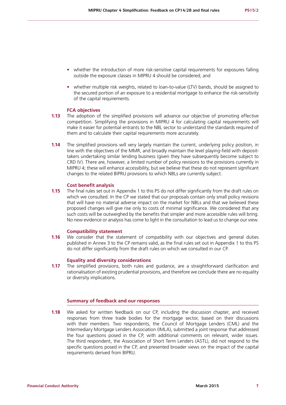- whether the introduction of more risk-sensitive capital requirements for exposures falling outside the exposure classes in MIPRU 4 should be considered; and
- **•** whether multiple risk weights, related to loan-to-value (LTV) bands, should be assigned to the secured portion of an exposure to a residential mortgage to enhance the risk-sensitivity of the capital requirements.

#### **FCA objectives**

- **1.13** The adoption of the simplified provisions will advance our objective of promoting effective competition. Simplifying the provisions in MIPRU 4 for calculating capital requirements will make it easier for potential entrants to the NBL sector to understand the standards required of them and to calculate their capital requirements more accurately.
- **1.14** The simplified provisions will very largely maintain the current, underlying policy position, in line with the objectives of the MMR, and broadly maintain the level playing-field with deposittakers undertaking similar lending business (given they have subsequently become subject to CRD IV). There are, however, a limited number of policy revisions to the provisions currently in MIPRU 4; these will enhance accessibility, but we believe that these do not represent significant changes to the related BIPRU provisions to which NBLs are currently subject.

#### **Cost benefit analysis**

**1.15** The final rules set out in Appendix 1 to this PS do not differ significantly from the draft rules on which we consulted. In the CP we stated that our proposals contain only small policy revisions that will have no material adverse impact on the market for NBLs and that we believed these proposed changes will give rise only to costs of minimal significance. We considered that any such costs will be outweighed by the benefits that simpler and more accessible rules will bring. No new evidence or analysis has come to light in the consultation to lead us to change our view.

#### **Compatibility statement**

**1.16** We consider that the statement of compatibility with our objectives and general duties published in Annex 3 to the CP remains valid, as the final rules set out in Appendix 1 to this PS do not differ significantly from the draft rules on which we consulted in our CP.

#### **Equality and diversity considerations**

**1.17** The simplified provisions, both rules and guidance, are a straightforward clarification and rationalisation of existing prudential provisions, and therefore we conclude there are no equality or diversity implications.

#### **Summary of feedback and our responses**

**1.18** We asked for written feedback on our CP, including the discussion chapter, and received responses from three trade bodies for the mortgage sector, based on their discussions with their members. Two respondents, the Council of Mortgage Lenders (CML) and the Intermediary Mortgage Lenders Association (IMLA), submitted a joint response that addressed the four questions posed in the CP, with additional comments on relevant, wider issues. The third respondent, the Association of Short Term Lenders (ASTL), did not respond to the specific questions posed in the CP, and presented broader views on the impact of the capital requirements derived from BIPRU.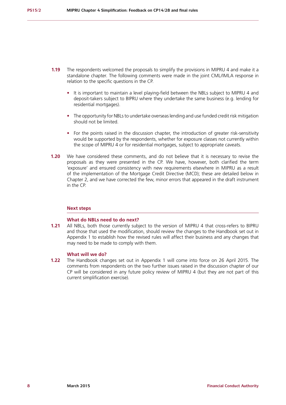- **1.19** The respondents welcomed the proposals to simplify the provisions in MIPRU 4 and make it a standalone chapter. The following comments were made in the joint CML/IMLA response in relation to the specific questions in the CP.
	- It is important to maintain a level playing-field between the NBLs subject to MIPRU 4 and deposit-takers subject to BIPRU where they undertake the same business (e.g. lending for residential mortgages).
	- **•** The opportunity for NBLs to undertake overseas lending and use funded credit risk mitigation should not be limited.
	- For the points raised in the discussion chapter, the introduction of greater risk-sensitivity would be supported by the respondents, whether for exposure classes not currently within the scope of MIPRU 4 or for residential mortgages, subject to appropriate caveats.
- **1.20** We have considered these comments, and do not believe that it is necessary to revise the proposals as they were presented in the CP. We have, however, both clarified the term 'exposure' and ensured consistency with new requirements elsewhere in MIPRU as a result of the implementation of the Mortgage Credit Directive (MCD); these are detailed below in Chapter 2, and we have corrected the few, minor errors that appeared in the draft instrument in the CP.

#### **Next steps**

#### **What do NBLs need to do next?**

**1.21** All NBLs, both those currently subject to the version of MIPRU 4 that cross-refers to BIPRU and those that used the modification, should review the changes to the Handbook set out in Appendix 1 to establish how the revised rules will affect their business and any changes that may need to be made to comply with them.

#### **What will we do?**

**1.22** The Handbook changes set out in Appendix 1 will come into force on 26 April 2015. The comments from respondents on the two further issues raised in the discussion chapter of our CP will be considered in any future policy review of MIPRU 4 (but they are not part of this current simplification exercise).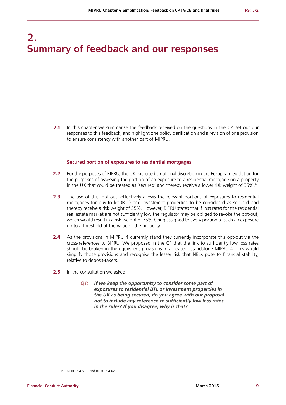## **2. Summary of feedback and our responses**

**2.1** In this chapter we summarise the feedback received on the questions in the CP, set out our responses to this feedback, and highlight one policy clarification and a revision of one provision to ensure consistency with another part of MIPRU.

#### **Secured portion of exposures to residential mortgages**

- **2.2** For the purposes of BIPRU, the UK exercised a national discretion in the European legislation for the purposes of assessing the portion of an exposure to a residential mortgage on a property in the UK that could be treated as 'secured' and thereby receive a lower risk weight of 35%.<sup>6</sup>
- **2.3** The use of this 'opt-out' effectively allows the relevant portions of exposures to residential mortgages for buy-to-let (BTL) and investment properties to be considered as secured and thereby receive a risk weight of 35%. However, BIPRU states that if loss rates for the residential real estate market are not sufficiently low the regulator may be obliged to revoke the opt-out, which would result in a risk weight of 75% being assigned to every portion of such an exposure up to a threshold of the value of the property.
- **2.4** As the provisions in MIPRU 4 currently stand they currently incorporate this opt-out via the cross-references to BIPRU. We proposed in the CP that the link to sufficiently low loss rates should be broken in the equivalent provisions in a revised, standalone MIPRU 4. This would simplify those provisions and recognise the lesser risk that NBLs pose to financial stability, relative to deposit-takers.
- **2.5** In the consultation we asked:
	- *Q1: If we keep the opportunity to consider some part of exposures to residential BTL or investment properties in the UK as being secured, do you agree with our proposal not to include any reference to sufficiently low loss rates in the rules? If you disagree, why is that?*

<sup>6</sup> BIPRU 3.4.61 R and BIPRU 3.4.62 G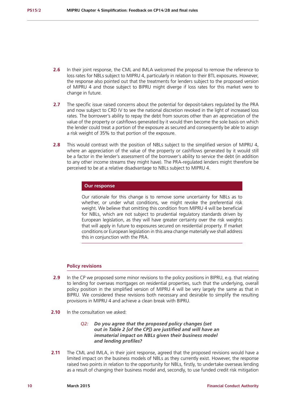- **2.6** In their joint response, the CML and IMLA welcomed the proposal to remove the reference to loss rates for NBLs subject to MIPRU 4, particularly in relation to their BTL exposures. However, the response also pointed out that the treatments for lenders subject to the proposed version of MIPRU 4 and those subject to BIPRU might diverge if loss rates for this market were to change in future.
- **2.7** The specific issue raised concerns about the potential for deposit-takers regulated by the PRA and now subject to CRD IV to see the national discretion revoked in the light of increased loss rates. The borrower's ability to repay the debt from sources other than an appreciation of the value of the property or cashflows generated by it would then become the sole basis on which the lender could treat a portion of the exposure as secured and consequently be able to assign a risk weight of 35% to that portion of the exposure.
- **2.8** This would contrast with the position of NBLs subject to the simplified version of MIPRU 4, where an appreciation of the value of the property or cashflows generated by it would still be a factor in the lender's assessment of the borrower's ability to service the debt (in addition to any other income streams they might have). The PRA-regulated lenders might therefore be perceived to be at a relative disadvantage to NBLs subject to MIPRU 4.

#### **Our response**

Our rationale for this change is to remove some uncertainty for NBLs as to whether, or under what conditions, we might revoke the preferential risk weight. We believe that omitting this condition from MIPRU 4 will be beneficial for NBLs, which are not subject to prudential regulatory standards driven by European legislation, as they will have greater certainty over the risk weights that will apply in future to exposures secured on residential property. If market conditions or European legislation in this area change materially we shall address this in conjunction with the PRA.

#### **Policy revisions**

- **2.9** In the CP we proposed some minor revisions to the policy positions in BIPRU, e.g. that relating to lending for overseas mortgages on residential properties, such that the underlying, overall policy position in the simplified version of MIPRU 4 will be very largely the same as that in BIPRU. We considered these revisions both necessary and desirable to simplify the resulting provisions in MIPRU 4 and achieve a clean break with BIPRU.
- **2.10** In the consultation we asked:
	- *Q2: Do you agree that the proposed policy changes (set out in Table 2 [of the CP]) are justified and will have an immaterial impact on NBLs given their business model and lending profiles?*
- **2.11** The CML and IMLA, in their joint response, agreed that the proposed revisions would have a limited impact on the business models of NBLs as they currently exist. However, the response raised two points in relation to the opportunity for NBLs, firstly, to undertake overseas lending as a result of changing their business model and, secondly, to use funded credit risk mitigation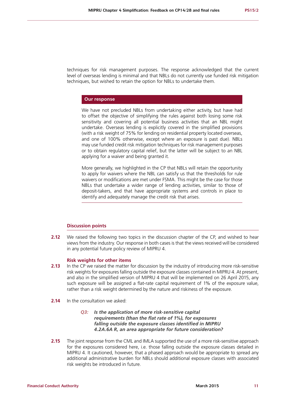techniques for risk management purposes. The response acknowledged that the current level of overseas lending is minimal and that NBLs do not currently use funded risk mitigation techniques, but wished to retain the option for NBLs to undertake them.

#### **Our response**

We have not precluded NBLs from undertaking either activity, but have had to offset the objective of simplifying the rules against both losing some risk sensitivity and covering all potential business activities that an NBL might undertake. Overseas lending is explicitly covered in the simplified provisions (with a risk weight of 75% for lending on residential property located overseas, and one of 100% otherwise, except where an exposure is past due). NBLs may use funded credit risk mitigation techniques for risk management purposes or to obtain regulatory capital relief, but the latter will be subject to an NBL applying for a waiver and being granted it.

More generally, we highlighted in the CP that NBLs will retain the opportunity to apply for waivers where the NBL can satisfy us that the thresholds for rule waivers or modifications are met under FSMA. This might be the case for those NBLs that undertake a wider range of lending activities, similar to those of deposit-takers, and that have appropriate systems and controls in place to identify and adequately manage the credit risk that arises.

#### **Discussion points**

**2.12** We raised the following two topics in the discussion chapter of the CP, and wished to hear views from the industry. Our response in both cases is that the views received will be considered in any potential future policy review of MIPRU 4.

#### **Risk weights for other items**

- **2.13** In the CP we raised the matter for discussion by the industry of introducing more risk-sensitive risk weights for exposures falling outside the exposure classes contained in MIPRU 4. At present, and also in the simplified version of MIPRU 4 that will be implemented on 26 April 2015, any such exposure will be assigned a flat-rate capital requirement of 1% of the exposure value, rather than a risk weight determined by the nature and riskiness of the exposure.
- **2.14** In the consultation we asked:
	- *Q3: Is the application of more risk-sensitive capital requirements (than the flat rate of 1%), for exposures falling outside the exposure classes identified in MIPRU 4.2A.6A R, an area appropriate for future consideration?*
- **2.15** The joint response from the CML and IMLA supported the use of a more risk-sensitive approach for the exposures considered here, i.e. those falling outside the exposure classes detailed in MIPRU 4. It cautioned, however, that a phased approach would be appropriate to spread any additional administrative burden for NBLs should additional exposure classes with associated risk weights be introduced in future.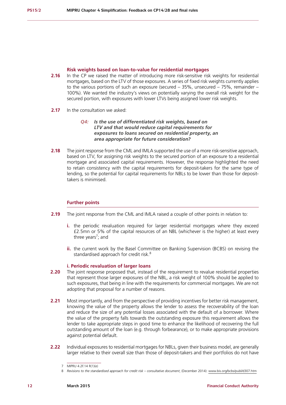#### **Risk weights based on loan-to-value for residential mortgages**

- **2.16** In the CP we raised the matter of introducing more risk-sensitive risk weights for residential mortgages, based on the LTV of those exposures. A series of fixed risk weights currently applies to the various portions of such an exposure (secured – 35%, unsecured – 75%, remainder – 100%). We wanted the industry's views on potentially varying the overall risk weight for the secured portion, with exposures with lower LTVs being assigned lower risk weights.
- **2.17** In the consultation we asked:

#### *Q4: Is the use of differentiated risk weights, based on LTV and that would reduce capital requirements for exposures to loans secured on residential property, an area appropriate for future consideration?*

**2.18** The joint response from the CML and IMLA supported the use of a more risk-sensitive approach, based on LTV, for assigning risk weights to the secured portion of an exposure to a residential mortgage and associated capital requirements. However, the response highlighted the need to retain consistency with the capital requirements for deposit-takers for the same type of lending, so the potential for capital requirements for NBLs to be lower than those for deposittakers is minimised.

#### **Further points**

- **2.19** The joint response from the CML and IMLA raised a couple of other points in relation to:
	- **i.** the periodic revaluation required for larger residential mortgages where they exceed £2.5mn or 5% of the capital resources of an NBL (whichever is the higher) at least every three years<sup>7</sup>; and
	- **ii.** the current work by the Basel Committee on Banking Supervision (BCBS) on revising the standardised approach for credit risk.<sup>8</sup>

#### **i. Periodic revaluation of larger loans**

- **2.20** The joint response proposed that, instead of the requirement to revalue residential properties that represent those larger exposures of the NBL, a risk weight of 100% should be applied to such exposures, that being in line with the requirements for commercial mortgages. We are not adopting that proposal for a number of reasons.
- **2.21** Most importantly, and from the perspective of providing incentives for better risk management, knowing the value of the property allows the lender to assess the recoverability of the loan and reduce the size of any potential losses associated with the default of a borrower. Where the value of the property falls towards the outstanding exposure this requirement allows the lender to take appropriate steps in good time to enhance the likelihood of recovering the full outstanding amount of the loan (e.g. through forbearance), or to make appropriate provisions against potential default.
- **2.22** Individual exposures to residential mortgages for NBLs, given their business model, are generally larger relative to their overall size than those of deposit-takers and their portfolios do not have

<sup>7</sup> MIPRU 4.2F.14 R(1)(e)

<sup>8</sup> Revisions to the standardised approach for credit risk – consultative document, (December 2014): [www.bis.org/bcbs/publ/d307.htm](file:///Users/david/Desktop/5042%20PS15_X%20MIPRUsimplification/2.%20Source/www.bis.org/bcbs/publ/d307.htm)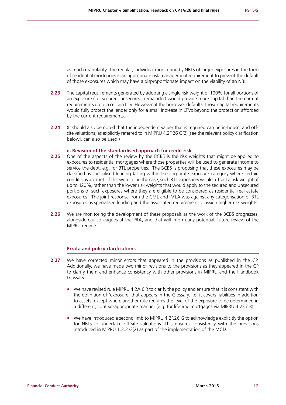as much granularity. The regular, individual monitoring by NBLs of larger exposures in the form of residential mortgages is an appropriate risk management requirement to prevent the default of those exposures which may have a disproportionate impact on the viability of an NBL.

- **2.23** The capital requirements generated by adopting a single risk weight of 100% for all portions of an exposure (i.e. secured, unsecured, remainder) would provide more capital than the current requirements up to a certain LTV. However, if the borrower defaults, those capital requirements would fully protect the lender only for a small increase in LTVs beyond the protection afforded by the current requirements.
- **2.24** (It should also be noted that the independent valuer that is required can be in-house, and offsite valuations, as explicitly referred to in MIPRU 4.2F.26 G(2) [see the relevant policy clarification below], can also be used.)

#### **ii. Revision of the standardised approach for credit risk**

- **2.25** One of the aspects of the review by the BCBS is the risk weights that might be applied to exposures to residential mortgages where those properties will be used to generate income to service the debt, e.g. for BTL properties. The BCBS is proposing that these exposures may be classified as specialised lending falling within the corporate exposure category where certain conditions are met. If this were to be the case, such BTL exposures would attract a risk weight of up to 120%, rather than the lower risk weights that would apply to the secured and unsecured portions of such exposures where they are eligible to be considered as residential real estate exposures. The joint response from the CML and IMLA was against any categorisation of BTL exposures as specialised lending and the associated requirement to assign higher risk weights.
- **2.26** We are monitoring the development of these proposals as the work of the BCBS progresses, alongside our colleagues at the PRA, and that will inform any potential, future review of the MIPRU regime.

#### **Errata and policy clarifications**

- **2.27** We have corrected minor errors that appeared in the provisions as published in the CP. Additionally, we have made two minor revisions to the provisions as they appeared in the CP to clarify them and enhance consistency with other provisions in MIPRU and the Handbook Glossary.
	- **•** We have revised rule MIPRU 4.2A.6 R to clarify the policy and ensure that it is consistent with the definition of 'exposure' that appears in the Glossary, i.e. it covers liabilities in addition to assets, except where another rule requires the level of the exposure to be determined in a different, context-appropriate manner (e.g. for lifetime mortgages via MIPRU 4.2F.7 R).
	- **•** We have introduced a second limb to MIPRU 4.2F.26 G to acknowledge explicitly the option for NBLs to undertake off-site valuations. This ensures consistency with the provisions introduced in MIPRU 1.3.3 G(2) as part of the implementation of the MCD.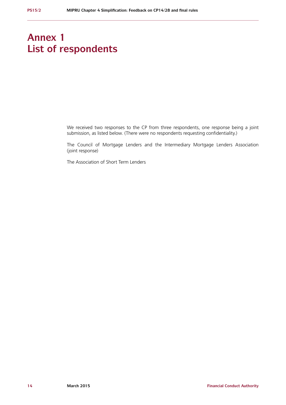## **Annex 1 List of respondents**

We received two responses to the CP from three respondents, one response being a joint submission, as listed below. (There were no respondents requesting confidentiality.)

The Council of Mortgage Lenders and the Intermediary Mortgage Lenders Association (joint response)

The Association of Short Term Lenders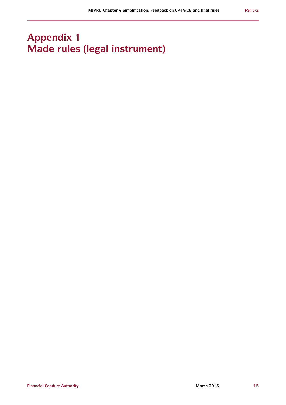## **Appendix 1 Made rules (legal instrument)**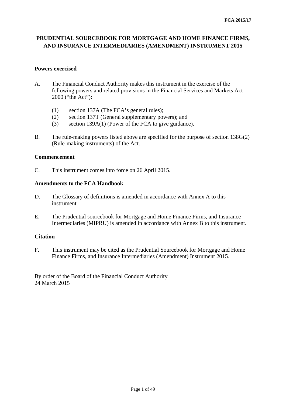## **PRUDENTIAL SOURCEBOOK FOR MORTGAGE AND HOME FINANCE FIRMS, AND INSURANCE INTERMEDIARIES (AMENDMENT) INSTRUMENT 2015**

## **Powers exercised**

- A. The Financial Conduct Authority makes this instrument in the exercise of the following powers and related provisions in the Financial Services and Markets Act 2000 ("the Act"):
	- (1) section 137A (The FCA's general rules);
	- (2) section 137T (General supplementary powers); and
	- (3) section 139A(1) (Power of the FCA to give guidance).
- B. The rule-making powers listed above are specified for the purpose of section 138G(2) (Rule-making instruments) of the Act.

## **Commencement**

C. This instrument comes into force on 26 April 2015.

## **Amendments to the FCA Handbook**

- D. The Glossary of definitions is amended in accordance with Annex A to this instrument.
- E. The Prudential sourcebook for Mortgage and Home Finance Firms, and Insurance Intermediaries (MIPRU) is amended in accordance with Annex B to this instrument.

## **Citation**

F. This instrument may be cited as the Prudential Sourcebook for Mortgage and Home Finance Firms, and Insurance Intermediaries (Amendment) Instrument 2015.

By order of the Board of the Financial Conduct Authority 24 March 2015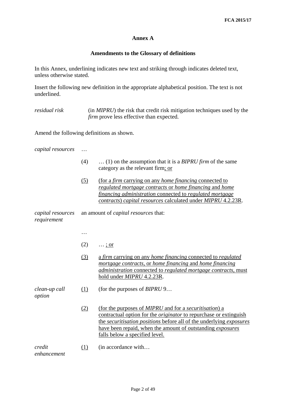## **Annex A**

## **Amendments to the Glossary of definitions**

In this Annex, underlining indicates new text and striking through indicates deleted text, unless otherwise stated.

Insert the following new definition in the appropriate alphabetical position. The text is not underlined.

*residual risk* (in *MIPRU*) the risk that credit risk mitigation techniques used by the *firm* prove less effective than expected.

Amend the following definitions as shown.

*capital resources* …

- (4) … (1) on the assumption that it is a *BIPRU firm* of the same category as the relevant firm; or
- (5) (for a *firm* carrying on any *home financing* connected to *regulated mortgage contracts* or *home financing* and *home financing administration* connected to *regulated mortgage contracts*) *capital resources* calculated under *MIPRU* 4.2.23R.

*capital resources requirement* an amount of *capital resources* that:

 $(2) \quad ... ;$  or

…

(3) a *firm* carrying on any *home financing* connected to *regulated mortgage contracts*, or *home financing* and *home financing administration* connected to *regulated mortgage contracts*, must hold under *MIPRU* 4.2.23R.

*clean-up call*  (1) (for the purposes of *[BIPRU](http://fshandbook.info/FS/html/FCA/BIPRU/9#D375)* 9…

*option*

(2) (for the purposes of *MIPRU* and for a *securitisation*) a contractual option for the *[originator](http://fshandbook.info/FS/glossary-html/handbook/Glossary/O?definition=G2216)* to repurchase or extinguish the *securitisation [positions](http://fshandbook.info/FS/glossary-html/handbook/Glossary/P?definition=G2231)* before all of the underlying *[exposures](http://fshandbook.info/FS/glossary-html/handbook/Glossary/E?definition=G402)* have been repaid, when the amount of outstanding *[exposures](http://fshandbook.info/FS/glossary-html/handbook/Glossary/E?definition=G402)* falls below a specified level.

*credit*  (1) (in accordance with…

*enhancement*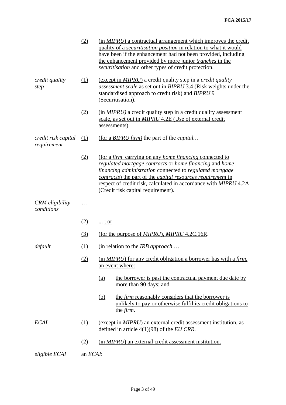|                                      | (2)      | (in <i>MIPRU</i> ) a contractual arrangement which improves the credit<br>quality of a <i>securitisation position</i> in relation to what it would<br>have been if the enhancement had not been provided, including<br>the enhancement provided by more junior <i>tranches</i> in the<br>securitisation and other types of credit protection.                  |  |  |
|--------------------------------------|----------|----------------------------------------------------------------------------------------------------------------------------------------------------------------------------------------------------------------------------------------------------------------------------------------------------------------------------------------------------------------|--|--|
| credit quality<br>step               | (1)      | (except in MIPRU) a credit quality step in a credit quality<br>assessment scale as set out in BIPRU 3.4 (Risk weights under the<br>standardised approach to credit risk) and BIPRU 9<br>(Securitisation).                                                                                                                                                      |  |  |
|                                      | (2)      | (in MIPRU) a credit quality step in a credit quality assessment<br>scale, as set out in <i>MIPRU</i> 4.2E (Use of external credit<br>assessments).                                                                                                                                                                                                             |  |  |
| credit risk capital<br>requirement   | (1)      | (for a BIPRU firm) the part of the capital                                                                                                                                                                                                                                                                                                                     |  |  |
|                                      | (2)      | <u>(for a firm carrying on any home financing connected to</u><br>regulated mortgage contracts or home financing and home<br>financing administration connected to regulated mortgage<br>contracts) the part of the capital resources requirement in<br>respect of credit risk, calculated in accordance with MIPRU 4.2A<br>(Credit risk capital requirement). |  |  |
| <b>CRM</b> eligibility<br>conditions |          |                                                                                                                                                                                                                                                                                                                                                                |  |  |
|                                      | (2)      | $\ldots$ ; or                                                                                                                                                                                                                                                                                                                                                  |  |  |
|                                      | (3)      | (for the purpose of <i>MIPRU</i> ), <i>MIPRU</i> 4.2C.16R.                                                                                                                                                                                                                                                                                                     |  |  |
| default                              | (1)      | (in relation to the <i>IRB approach</i>                                                                                                                                                                                                                                                                                                                        |  |  |
|                                      | (2)      | (in <i>MIPRU</i> ) for any credit obligation a borrower has with a <i>firm</i> ,<br>an event where:                                                                                                                                                                                                                                                            |  |  |
|                                      |          | the borrower is past the contractual payment due date by<br><u>(a)</u><br>more than 90 days; and                                                                                                                                                                                                                                                               |  |  |
|                                      |          | the <i>firm</i> reasonably considers that the borrower is<br><u>(b)</u><br>unlikely to pay or otherwise fulfil its credit obligations to<br>the <i>firm</i> .                                                                                                                                                                                                  |  |  |
| <b>ECAI</b>                          | (1)      | (except in <i>MIPRU</i> ) an external credit assessment institution, as<br>defined in article $4(1)(98)$ of the <i>EU CRR</i> .                                                                                                                                                                                                                                |  |  |
|                                      | (2)      | (in <i>MIPRU</i> ) an external credit assessment institution.                                                                                                                                                                                                                                                                                                  |  |  |
| eligible ECAI                        | an ECAI: |                                                                                                                                                                                                                                                                                                                                                                |  |  |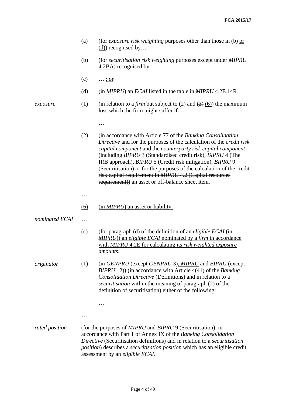|                | (a)        | (for <i>exposure risk weighting</i> purposes other than those in (b) $\alpha r$<br>$(d)$ recognised by                                                                                                                                                                                                                                                                                                                                                                                                                    |
|----------------|------------|---------------------------------------------------------------------------------------------------------------------------------------------------------------------------------------------------------------------------------------------------------------------------------------------------------------------------------------------------------------------------------------------------------------------------------------------------------------------------------------------------------------------------|
|                | (b)        | (for <i>securitisation risk weighting</i> purposes except under <i>MIPRU</i><br>$\frac{4.2BA}{2}$ recognised by                                                                                                                                                                                                                                                                                                                                                                                                           |
|                | (c)        | <u>; or</u>                                                                                                                                                                                                                                                                                                                                                                                                                                                                                                               |
|                | <u>(d)</u> | (in <i>MIPRU</i> ) an <i>ECAI</i> listed in the table in <i>MIPRU</i> 4.2E.14R.                                                                                                                                                                                                                                                                                                                                                                                                                                           |
| exposure       | (1)        | (in relation to a <i>firm</i> but subject to (2) and $\left(\frac{3}{2}\right)$ (6)) the maximum<br>loss which the firm might suffer if:                                                                                                                                                                                                                                                                                                                                                                                  |
|                |            |                                                                                                                                                                                                                                                                                                                                                                                                                                                                                                                           |
|                | (2)        | (in accordance with Article 77 of the Banking Consolidation<br>Directive and for the purposes of the calculation of the credit risk<br>capital component and the counterparty risk capital component<br>(including BIPRU 3 (Standardised credit risk), BIPRU 4 (The<br>IRB approach), BIPRU 5 (Credit risk mitigation), BIPRU 9<br>(Securitisation) or for the purposes of the calculation of the credit<br>risk capital requirement in MIPRU 4.2 (Capital resources<br>requirement)) an asset or off-balance sheet item. |
|                | .          |                                                                                                                                                                                                                                                                                                                                                                                                                                                                                                                           |
|                | (6)        | (in <i>MIPRU</i> ) an asset or liability.                                                                                                                                                                                                                                                                                                                                                                                                                                                                                 |
| nominated ECAI | $\cdots$   |                                                                                                                                                                                                                                                                                                                                                                                                                                                                                                                           |
|                | (c)        | <u>(for paragraph (d) of the definition of an eligible ECAI (in</u><br>MIPRU)) an eligible ECAI nominated by a firm in accordance<br>with MIPRU 4.2E for calculating its risk weighted exposure<br>amounts.                                                                                                                                                                                                                                                                                                               |
| originator     | (1)        | (in <i>GENPRU</i> (except <i>GENPRU</i> 3), <i>MIPRU</i> and <i>BIPRU</i> (except<br>$BIPRU$ 12)) (in accordance with Article 4(41) of the Banking<br>Consolidation Directive (Definitions) and in relation to a<br>securitisation within the meaning of paragraph (2) of the<br>definition of securitisation) either of the following:                                                                                                                                                                                   |
|                |            | $\cdots$                                                                                                                                                                                                                                                                                                                                                                                                                                                                                                                  |
|                |            |                                                                                                                                                                                                                                                                                                                                                                                                                                                                                                                           |
| rated position |            | (for the purposes of <i>MIPRU</i> and <i>BIPRU</i> 9 (Securitisation), in<br>accordance with Part 1 of Annex IX of the Banking Consolidation<br>Directive (Securitisation definitions) and in relation to a securitisation<br>position) describes a securitisation position which has an eligible credit                                                                                                                                                                                                                  |

assessment by an *eligible ECAI*.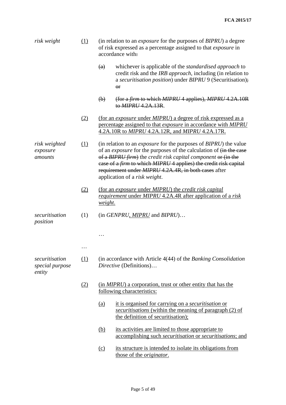| risk weight                                                                   | (1) | (in relation to an <i>exposure</i> for the purposes of <i>BIPRU</i> ) a degree<br>of risk expressed as a percentage assigned to that <i>exposure</i> in<br>accordance with:                                                                                                                                                                                                                                     |  |  |  |
|-------------------------------------------------------------------------------|-----|-----------------------------------------------------------------------------------------------------------------------------------------------------------------------------------------------------------------------------------------------------------------------------------------------------------------------------------------------------------------------------------------------------------------|--|--|--|
|                                                                               |     | whichever is applicable of the <i>standardised approach</i> to<br>(a)<br>credit risk and the IRB approach, including (in relation to<br>a securitisation position) under BIPRU 9 (Securitisation);<br>$\Theta$ r                                                                                                                                                                                                |  |  |  |
|                                                                               |     | (for a firm to which MIPRU 4 applies), MIPRU 4.2A.10R<br>$\left(\mathbf{b}\right)$<br>to MIPRU 4.2A.13R.                                                                                                                                                                                                                                                                                                        |  |  |  |
|                                                                               | (2) | (for an exposure under MIPRU) a degree of risk expressed as a<br>percentage assigned to that <i>exposure</i> in accordance with MIPRU<br>4.2A.10R to MIPRU 4.2A.12R, and MIPRU 4.2A.17R.                                                                                                                                                                                                                        |  |  |  |
| (1)<br>risk weighted<br>exposure<br>amounts                                   |     | (in relation to an <i>exposure</i> for the purposes of <i>BIPRU</i> ) the value<br>of an <i>exposure</i> for the purposes of the calculation of $\overline{(in the case)}$<br>of a BIPRU firm) the credit risk capital component or (in the<br>case of a firm to which MIPRU 4 applies) the credit risk capital<br>requirement under <i>MIPRU</i> 4.2A.4R, in both cases after<br>application of a risk weight. |  |  |  |
|                                                                               | (2) | (for an exposure under MIPRU) the credit risk capital<br><i>requirement</i> under <i>MIPRU</i> 4.2A.4R after application of a risk<br>weight.                                                                                                                                                                                                                                                                   |  |  |  |
| securitisation<br>position                                                    | (1) | $(in GENPRU, MIPRU$ and $BIPRU$                                                                                                                                                                                                                                                                                                                                                                                 |  |  |  |
|                                                                               |     |                                                                                                                                                                                                                                                                                                                                                                                                                 |  |  |  |
|                                                                               |     |                                                                                                                                                                                                                                                                                                                                                                                                                 |  |  |  |
| (1)<br>securitisation<br>Directive (Definitions)<br>special purpose<br>entity |     | (in accordance with Article 4(44) of the Banking Consolidation                                                                                                                                                                                                                                                                                                                                                  |  |  |  |
|                                                                               | (2) | (in <i>MIPRU</i> ) a corporation, trust or other entity that has the<br>following characteristics:                                                                                                                                                                                                                                                                                                              |  |  |  |
|                                                                               |     | it is organised for carrying on a <i>securitisation</i> or<br><u>(a)</u><br>securitisations (within the meaning of paragraph (2) of<br>the definition of securitisation);                                                                                                                                                                                                                                       |  |  |  |
|                                                                               |     | its activities are limited to those appropriate to<br><u>(b)</u><br>accomplishing such <i>securitisation</i> or <i>securitisations</i> ; and                                                                                                                                                                                                                                                                    |  |  |  |
|                                                                               |     | its structure is intended to isolate its obligations from<br>(c)                                                                                                                                                                                                                                                                                                                                                |  |  |  |

those of the *originator*.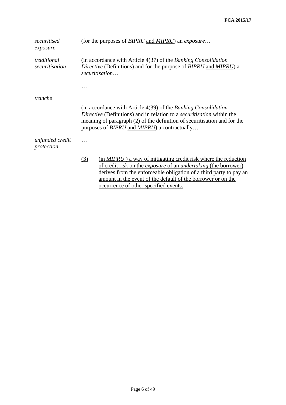| securitised<br>exposure       | (for the purposes of <i>BIPRU</i> and <i>MIPRU</i> ) an <i>exposure</i>                                                                                                                                                                                                                                                                 |  |  |  |
|-------------------------------|-----------------------------------------------------------------------------------------------------------------------------------------------------------------------------------------------------------------------------------------------------------------------------------------------------------------------------------------|--|--|--|
| traditional<br>securitisation | (in accordance with Article $4(37)$ of the Banking Consolidation<br>Directive (Definitions) and for the purpose of BIPRU and MIPRU) a<br>securitisation                                                                                                                                                                                 |  |  |  |
|                               |                                                                                                                                                                                                                                                                                                                                         |  |  |  |
| tranche                       |                                                                                                                                                                                                                                                                                                                                         |  |  |  |
|                               | (in accordance with Article 4(39) of the Banking Consolidation<br>Directive (Definitions) and in relation to a <i>securitisation</i> within the<br>meaning of paragraph (2) of the definition of securitisation and for the<br>purposes of BIPRU and MIPRU) a contractually                                                             |  |  |  |
| unfunded credit<br>protection |                                                                                                                                                                                                                                                                                                                                         |  |  |  |
|                               | $(in MIPRU)$ a way of mitigating credit risk where the reduction<br>(3)<br>of credit risk on the <i>exposure</i> of an <i>undertaking</i> (the borrower)<br>derives from the enforceable obligation of a third party to pay an<br>amount in the event of the default of the borrower or on the<br>occurrence of other specified events. |  |  |  |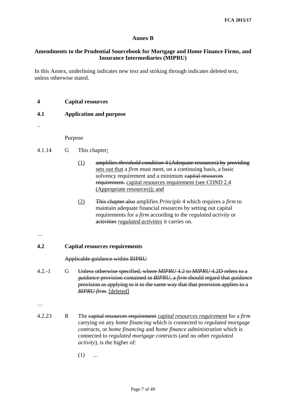## **Annex B**

## **Amendments to the Prudential Sourcebook for Mortgage and Home Finance Firms, and Insurance Intermediaries (MIPRU)**

In this Annex, underlining indicates new text and striking through indicates deleted text, unless otherwise stated.

**4 Capital resources** 

## **4.1 Application and purpose**

…

Purpose

- 4.1.14 G This chapter:
	- (1) amplifies *threshold condition* 4 (Adequate resources) by providing sets out that a *firm* must meet, on a continuing basis, a basic solvency requirement and a minimum capital resources requirement. capital resources requirement (see *COND* 2.4 (Appropriate resources)); and
	- (2) This chapter also amplifies *Principle* 4 which requires a *firm* to maintain adequate financial resources by setting out capital requirements for a *firm* according to the *regulated activity* or activities *regulated activities* it carries on.
- …

## **4.2 Capital resources requirements**

Applicable guidance within BIPRU

4.2.-1 G Unless otherwise specified, where *MIPRU* 4.2 to *MIPRU* 4.2D refers to a *guidance* provision contained in *BIPRU*, a *firm* should regard that *guidance* provision as applying to it in the same way that that provision applies to a *BIPRU firm*. [deleted]

…

- 4.2.23 R The capital resources requirement *capital resources requirement* for a *firm* carrying on any *home financing* which is connected to *regulated mortgage contracts*, or *home financing* and *home finance administration* which is connected to *regulated mortgage contracts* (and no other *regulated activity*), is the higher of:
	- (1) …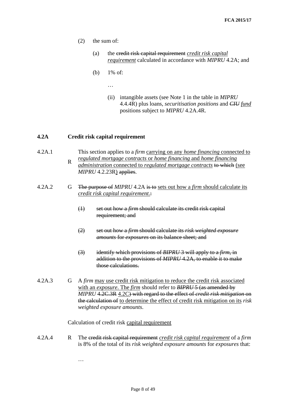- (2) the sum of:
	- (a) the credit risk capital requirement *credit risk capital requirement* calculated in accordance with *MIPRU* 4.2A; and
	- (b) 1% of:
		- …
		- (ii) intangible assets (see Note 1 in the table in *MIPRU* 4.4.4R) plus loans, *securitisation positions* and *CIU fund* positions subject to *MIPRU* 4.2A.4R.

## **4.2A Credit risk capital requirement**

- 4.2A.1 R This section applies to a *firm* carrying on any *home financing* connected to *regulated mortgage contracts* or *home financing* and *home financing administration* connected to *regulated mortgage contracts* to which (see
	- *MIPRU* 4.2.23R) applies.
- 4.2A.2 G The purpose of *MIPRU* 4.2A is to sets out how a *firm* should calculate its *credit risk capital requirement*.:
	- (1) set out how a *firm* should calculate its credit risk capital requirement; and
	- (2) set out how a *firm* should calculate its *risk weighted exposure amounts* for *exposures* on its balance sheet; and
	- (3) identify which provisions of *BIPRU* 3 will apply to a *firm*, in addition to the provisions of *MIPRU* 4.2A, to enable it to make those calculations.
- 4.2A.3 G A *firm* may use credit risk mitigation to reduce the credit risk associated with an *exposure*. The *firm* should refer to *BIPRU* 5 (as amended by *MIPRU* 4.2C.3R 4.2C) with regard to the effect of *credit risk mitigation* on the calculation of to determine the effect of credit risk mitigation on its *risk weighted exposure amounts*.

#### Calculation of credit risk capital requirement

…

4.2A.4 R The credit risk capital requirement *credit risk capital requirement* of a *firm* is 8% of the total of its *risk weighted exposure amounts* for *exposures* that:

Page 8 of 49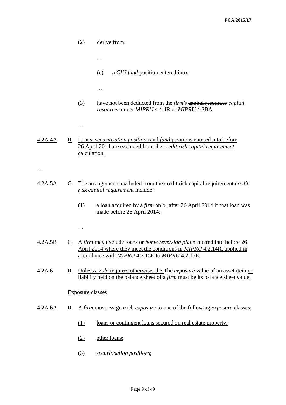|         |                          | (2)<br>derive from:                                                                                                                                                                                                       |
|---------|--------------------------|---------------------------------------------------------------------------------------------------------------------------------------------------------------------------------------------------------------------------|
|         |                          | .                                                                                                                                                                                                                         |
|         |                          | a <i>CIU</i> fund position entered into;<br>(c)                                                                                                                                                                           |
|         |                          | .                                                                                                                                                                                                                         |
|         |                          | (3)<br>have not been deducted from the <i>firm's</i> capital resources <i>capital</i><br>resources under MIPRU 4.4.4R or MIPRU 4.2BA;                                                                                     |
|         |                          | .                                                                                                                                                                                                                         |
| 4.2A.4A | $\underline{R}$          | Loans, <i>securitisation positions</i> and <i>fund</i> positions entered into before<br>26 April 2014 are excluded from the credit risk capital requirement<br>calculation.                                               |
|         |                          |                                                                                                                                                                                                                           |
| 4.2A.5A | G                        | The arrangements excluded from the eredit risk capital requirement credit<br>risk capital requirement include:                                                                                                            |
|         |                          | (1)<br>a loan acquired by a firm on or after 26 April 2014 if that loan was<br>made before 26 April 2014;                                                                                                                 |
|         |                          | .                                                                                                                                                                                                                         |
| 4.2A.5B | G                        | <u>A firm may exclude loans or <i>home reversion plans</i> entered into before 26</u><br>April 2014 where they meet the conditions in <i>MIPRU</i> 4.2.14R, applied in<br>accordance with MIPRU 4.2.15E to MIPRU 4.2.17E. |
| 4.2A.6  | R                        | Unless a <i>rule</i> requires otherwise, the The- <i>exposure</i> value of an asset item or<br>liability held on the balance sheet of a firm must be its balance sheet value.                                             |
|         |                          | <b>Exposure classes</b>                                                                                                                                                                                                   |
| 4.2A.6A | $\underline{\mathbf{R}}$ | A firm must assign each exposure to one of the following exposure classes:                                                                                                                                                |
|         |                          | (1)<br><u>loans or contingent loans secured on real estate property;</u>                                                                                                                                                  |
|         |                          | other loans;<br>(2)                                                                                                                                                                                                       |
|         |                          | (3)<br>securitisation positions;                                                                                                                                                                                          |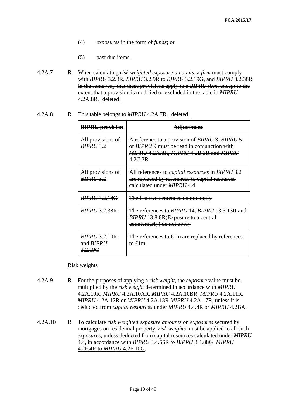- (4) *exposures* in the form of *funds*; or
- (5) past due items.
- 4.2A.7 R When calculating *risk weighted exposure amounts*, a *firm* must comply with *BIPRU* 3.2.3R, *BIPRU* 3.2.9R to *BIPRU* 3.2.19G, and *BIPRU* 3.2.38R in the same way that these provisions apply to a *BIPRU firm*, except to the extent that a provision is modified or excluded in the table in *MIPRU*  4.2A.8R. [deleted]

4.2A.8 R This table belongs to *MIPRU* 4.2A.7R [deleted]

| <b>BIPRU</b> provision                              | <b>Adjustment</b>                                                                                                                                  |
|-----------------------------------------------------|----------------------------------------------------------------------------------------------------------------------------------------------------|
| All provisions of<br><b>BIPRU 3.2</b>               | A reference to a provision of BIPRU 3, BIPRU 5<br>or BIPRU 9 must be read in conjunction with<br>MIPRU 4.2A.8R, MIPRU 4.2B.3R and MIPRU<br>4.2C.3R |
| All provisions of<br><b>BIPRU 3.2</b>               | All references to <i>capital resources</i> in BIPRU 3.2<br>are replaced by references to capital resources<br>ealculated under <i>MIPRU</i> 4.4    |
| <i>BIPRU</i> 3.2.14G                                | The last two sentences do not apply                                                                                                                |
| BIPRU 3.2.38R                                       | The references to BIPRU 14, BIPRU 13.3.13R and<br>BIPRU 13.8.8R(Exposure to a central<br>counterparty) do not apply                                |
| <i>BIPRU 3.2.10R</i><br>and <i>BIPRU</i><br>3.2.19G | The references to €lm are replaced by references<br>to $\pounds 1m$ .                                                                              |

## Risk weights

- 4.2A.9 R For the purposes of applying a *risk weight*, the *exposure* value must be multiplied by the *risk weight* determined in accordance with *MIPRU* 4.2A.10R, *MIPRU* 4.2A.10AR, *MIPRU* 4.2A.10BR, *MIPRU* 4.2A.11R, *MIPRU* 4.2A.12R or *MIPRU* 4.2A.13R *MIPRU* 4.2A.17R, unless it is deducted from *capital resources* under *MIPRU* 4.4.4R or *MIPRU* 4.2BA.
- 4.2A.10 R To calculate *risk weighted exposure amounts* on *exposures* secured by mortgages on residential property, *risk weights* must be applied to all such *exposures*, unless deducted from capital resources calculated under *MIPRU*  4.4, in accordance with *BIPRU* 3.4.56R *to BIPRU* 3.4.88G *MIPRU* 4.2F.4R to *MIPRU* 4.2F.10G.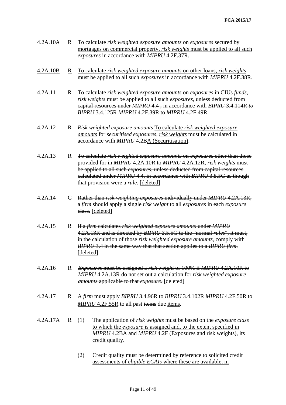| 4.2A.10A        | R                       | To calculate risk weighted exposure amounts on exposures secured by<br>mortgages on commercial property, risk weights must be applied to all such<br>exposures in accordance with MIPRU 4.2F.37R.                                                                                                                                                              |  |  |  |  |
|-----------------|-------------------------|----------------------------------------------------------------------------------------------------------------------------------------------------------------------------------------------------------------------------------------------------------------------------------------------------------------------------------------------------------------|--|--|--|--|
| 4.2A.10B        | R                       | <u>To calculate risk weighted exposure amounts on other loans, risk weights</u><br>must be applied to all such <i>exposures</i> in accordance with <i>MIPRU</i> 4.2F.38R.                                                                                                                                                                                      |  |  |  |  |
| 4.2A.11         | $\mathbf R$             | To calculate risk weighted exposure amounts on exposures in CIUs funds,<br>risk weights must be applied to all such exposures, unless deducted from<br>eapital resources under <i>MIPRU</i> 4.4, in accordance with <i>BIPRU</i> 3.4.114R to<br>BIPRU 3.4.125R MIPRU 4.2F.39R to MIPRU 4.2F.49R.                                                               |  |  |  |  |
| 4.2A.12         | R                       | Risk weighted exposure amounts To calculate risk weighted exposure<br>amounts for securitised exposures, risk weights must be calculated in<br>accordance with MIPRU 4.2BA (Securitisation).                                                                                                                                                                   |  |  |  |  |
| 4.2A.13         | $\mathbf R$             | To calculate risk weighted exposure amounts on exposures other than those<br>provided for in MIPRU 4.2A.10R to MIPRU 4.2A.12R, risk weights must<br>be applied to all such <i>exposures</i> , unless deducted from capital resources<br>calculated under MIPRU 4.4, in accordance with BIPRU 3.5.5G as though<br>that provision were a <i>rule</i> . [deleted] |  |  |  |  |
| 4.2A.14         | G                       | Rather than risk weighting exposures individually under MIPRU 4.2A.13R,<br>a firm should apply a single risk weight to all exposures in each exposure<br>elass. [deleted]                                                                                                                                                                                      |  |  |  |  |
| 4.2A.15         | $\mathbf R$             | If a firm calculates risk weighted exposure amounts under MIPRU<br>4.2A.13R and is directed by BIPRU 3.5.5G to the "normal rules", it must,<br>in the calculation of those risk weighted exposure amounts, comply with<br>BIPRU 3.4 in the same way that that section applies to a BIPRU firm.<br>[deleted]                                                    |  |  |  |  |
| 4.2A.16         | $\mathbf{R}$            | <i>Exposures</i> must be assigned a <i>risk weight</i> of 100% if <i>MIPRU</i> 4.2A.10R to<br>MIPRU 4.2A.13R do not set out a calculation for risk weighted exposure<br><i>amounts</i> applicable to that <i>exposure</i> . [deleted]                                                                                                                          |  |  |  |  |
| 4.2A.17         | $\mathbb{R}$            | A firm must apply BIPRU 3.4.96R to BIPRU 3.4.102R MIPRU 4.2F.50R to<br>MIPRU 4.2F.55R to all past items due items.                                                                                                                                                                                                                                             |  |  |  |  |
| <u>4.2A.17A</u> | $\overline{\mathbf{R}}$ | The application of risk weights must be based on the <i>exposure class</i><br>(1)<br>to which the <i>exposure</i> is assigned and, to the extent specified in<br>MIPRU 4.2BA and MIPRU 4.2F (Exposures and risk weights), its<br>credit quality.                                                                                                               |  |  |  |  |
|                 |                         | Credit quality must be determined by reference to solicited credit<br>(2)<br>assessments of eligible ECAIs where these are available, in                                                                                                                                                                                                                       |  |  |  |  |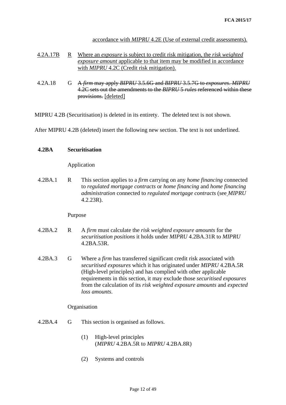accordance with *MIPRU* 4.2E (Use of external credit assessments)*.*

- 4.2A.17B R Where an *exposure* is subject to credit risk mitigation, the *risk weighted exposure amount* applicable to that item may be modified in accordance with *MIPRU* 4.2C (Credit risk mitigation).
- 4.2A.18 G A *firm* may apply *BIPRU* 3.5.6G and *BIPRU* 3.5.7G to *exposures*. *MIPRU* 4.2C sets out the amendments to the *BIPRU* 5 *rules* referenced within these provisions. [deleted]

MIPRU 4.2B (Securitisation) is deleted in its entirety. The deleted text is not shown.

After MIPRU 4.2B (deleted) insert the following new section. The text is not underlined.

#### **4.2BA Securitisation**

#### Application

4.2BA.1 R This section applies to a *firm* carrying on any *home financing* connected to *regulated mortgage contracts* or *home financing* and *home financing administration* connected to *regulated mortgage contracts* (see *MIPRU* 4.2.23R).

#### Purpose

- 4.2BA.2 R A *firm* must calculate the *risk weighted exposure amounts* for the *securitisation positions* it holds under *MIPRU* 4.2BA.31R to *MIPRU* 4.2BA.53R.
- 4.2BA.3 G Where a *firm* has transferred significant credit risk associated with *securitised exposures* which it has originated under *MIPRU* 4.2BA.5R (High-level principles) and has complied with other applicable requirements in this section, it may exclude those *securitised exposures* from the calculation of its *risk weighted exposure amounts* and *expected loss amounts*.

#### **Organisation**

- 4.2BA.4 G This section is organised as follows.
	- (1) High-level principles (*MIPRU* 4.2BA.5R to *MIPRU* 4.2BA.8R)
	- (2) Systems and controls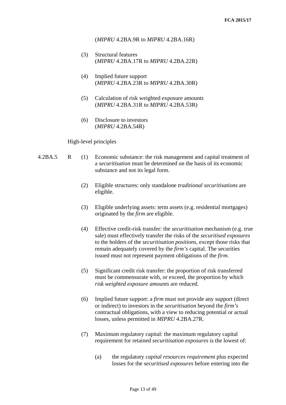### (*MIPRU* 4.2BA.9R to *MIPRU* 4.2BA.16R)

- (3) Structural features (*MIPRU* 4.2BA.17R to *MIPRU* 4.2BA.22R)
- (4) Implied future support (*MIPRU* 4.2BA.23R to *MIPRU* 4.2BA.30R)
- (5) Calculation of risk weighted exposure amounts (*MIPRU* 4.2BA.31R to *MIPRU* 4.2BA.53R)
- (6) Disclosure to investors (*MIPRU* 4.2BA.54R)

#### High-level principles

- 4.2BA.5 R (1) Economic substance: the risk management and capital treatment of a *securitisation* must be determined on the basis of its economic substance and not its legal form.
	- (2) Eligible structures: only standalone *traditional securitisations* are eligible.
	- (3) Eligible underlying assets: term assets (e.g. residential mortgages) originated by the *firm* are eligible.
	- (4) Effective credit-risk transfer: the *securitisation* mechanism (e.g. true sale) must effectively transfer the risks of the *securitised exposures* to the holders of the *securitisation positions*, except those risks that remain adequately covered by the *firm's* capital. The securities issued must not represent payment obligations of the *firm*.
	- (5) Significant credit risk transfer: the proportion of risk transferred must be commensurate with, or exceed, the proportion by which *risk weighted exposure amounts* are reduced.
	- (6) Implied future support: a *firm* must not provide any support (direct or indirect) to investors in the *securitisation* beyond the *firm's* contractual obligations, with a view to reducing potential or actual losses, unless permitted in *MIPRU* 4.2BA.27R.
	- (7) Maximum regulatory capital: the maximum regulatory capital requirement for retained *securitisation exposures* is the lowest of:
		- (a) the regulatory *capital resources requirement* plus expected losses for the *securitised exposures* before entering into the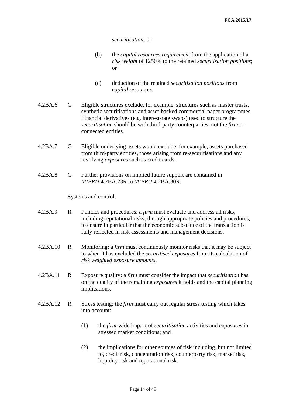*securitisation*; or

- (b) the *capital resources requirement* from the application of a *risk weight* of 1250% to the retained *securitisation positions*; or
- (c) deduction of the retained *securitisation positions* from *capital resources*.
- 4.2BA.6 G Eligible structures exclude, for example, structures such as master trusts, synthetic securitisations and asset-backed commercial paper programmes. Financial derivatives (e.g. interest-rate swaps) used to structure the *securitisation* should be with third-party counterparties, not the *firm* or connected entities.
- 4.2BA.7 G Eligible underlying assets would exclude, for example, assets purchased from third-party entities, those arising from re-securitisations and any revolving *exposures* such as credit cards.
- 4.2BA.8 G Further provisions on implied future support are contained in *MIPRU* 4.2BA.23R to *MIPRU* 4.2BA.30R.

Systems and controls

- 4.2BA.9 R Policies and procedures: a *firm* must evaluate and address all risks, including reputational risks, through appropriate policies and procedures, to ensure in particular that the economic substance of the transaction is fully reflected in risk assessments and management decisions.
- 4.2BA.10 R Monitoring: a *firm* must continuously monitor risks that it may be subject to when it has excluded the *[securitised exposures](http://fsahandbook.info/FSA/glossary-html/handbook/Glossary/S?definition=G2278)* from its calculation of *[risk weighted exposure amounts](http://fsahandbook.info/FSA/glossary-html/handbook/Glossary/R?definition=G2266)*.
- 4.2BA.11 R Exposure quality: a *firm* must consider the impact that *securitisation* has on the quality of the remaining *exposures* it holds and the capital planning implications.
- 4.2BA.12 R Stress testing: the *firm* must carry out regular stress testing which takes into account:
	- (1) the *firm*-wide impact of *securitisation* activities and *[exposures](http://fsahandbook.info/FSA/glossary-html/handbook/Glossary/E?definition=G402)* in stressed market conditions; and
	- (2) the implications for other sources of risk including, but not limited to, credit risk, concentration risk, counterparty risk, [market risk,](http://fsahandbook.info/FSA/glossary-html/handbook/Glossary/M?definition=G1564) [liquidity risk](http://fsahandbook.info/FSA/glossary-html/handbook/Glossary/L?definition=G1555) and reputational risk.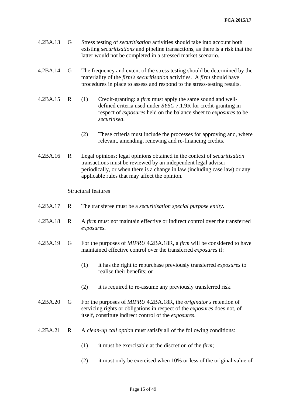- 4.2BA.13 G Stress testing of *[securitisation](http://fsahandbook.info/FSA/glossary-html/handbook/Glossary/S?definition=G1331)* activities should take into account both existing *securitisations* and pipeline transactions, as there is a risk that the latter would not be completed in a stressed market scenario.
- 4.2BA.14 G The frequency and extent of the stress testing should be determined by the materiality of the *[firm's](http://fsahandbook.info/FSA/glossary-html/handbook/Glossary/F?definition=G430) securitisation* activities. A *[firm](http://fsahandbook.info/FSA/glossary-html/handbook/Glossary/F?definition=G430)* should have procedures in place to assess and respond to the stress-testing results.
- 4.2BA.15 R (1) Credit-granting: a *firm* must apply the same sound and welldefined criteria used under *SYSC* 7.1.9R for credit-granting in respect of *exposures* held on the balance sheet to *exposures* to be *securitised*.
	- (2) These criteria must include the processes for approving and, where relevant, amending, renewing and re-financing credits.
- 4.2BA.16 R Legal opinions: legal opinions obtained in the context of *securitisation* transactions must be reviewed by an independent legal adviser periodically, or when there is a change in law (including case law) or any applicable rules that may affect the opinion.

## Structural features

- 4.2BA.17 R The transferee must be a *securitisation special purpose entity*.
- 4.2BA.18 R A *firm* must not maintain effective or indirect control over the transferred *exposures*.
- 4.2BA.19 G For the purposes of *MIPRU* 4.2BA.18R, a *firm* will be considered to have maintained effective control over the transferred *exposures* if:
	- (1) it has the right to repurchase previously transferred *exposures* to realise their benefits; or
	- (2) it is required to re-assume any previously transferred risk.
- 4.2BA.20 G For the purposes of *MIPRU* 4.2BA.18R, the *originator's* retention of servicing rights or obligations in respect of the *exposures* does not, of itself, constitute indirect control of the *exposures*.
- 4.2BA.21 R A *[clean-up call optio](http://fsahandbook.info/FSA/glossary-html/handbook/Glossary/C?definition=G2050)*n must satisfy all of the following conditions:
	- (1) it must be exercisable at the discretion of the *firm*;
	- (2) it must only be exercised when 10% or less of the original value of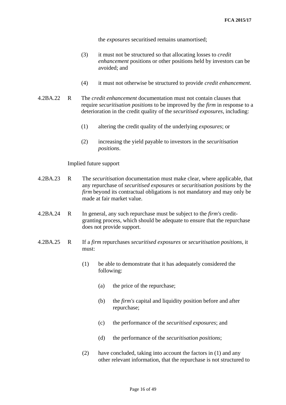the *exposures* securitised remains unamortised;

- (3) it must not be structured so that allocating losses to *credit enhancement* positions or other positions held by investors can be avoided; and
- (4) it must not otherwise be structured to provide *credit enhancement*.
- 4.2BA.22 R The *credit enhancement* documentation must not contain clauses that require *securitisation positions* to be improved by the *firm* in response to a deterioration in the credit quality of the *securitised exposures*, including:
	- (1) altering the credit quality of the underlying *exposures*; or
	- (2) increasing the yield payable to investors in the *securitisation positions*.

## Implied future support

- 4.2BA.23 R The *securitisation* documentation must make clear, where applicable, that any repurchase of *securitised exposures* or *securitisation positions* by the *firm* beyond its contractual obligations is not mandatory and may only be made at fair market value.
- 4.2BA.24 R In general, any such repurchase must be subject to the *firm's* creditgranting process, which should be adequate to ensure that the repurchase does not provide support.
- 4.2BA.25 R If a *firm* repurchases *securitised exposures* or *securitisation positions*, it must:
	- (1) be able to demonstrate that it has adequately considered the following:
		- (a) the price of the repurchase;
		- (b) the *firm's* capital and liquidity position before and after repurchase;
		- (c) the performance of the *securitised exposures*; and
		- (d) the performance of the *securitisation positions*;
	- (2) have concluded, taking into account the factors in (1) and any other relevant information, that the repurchase is not structured to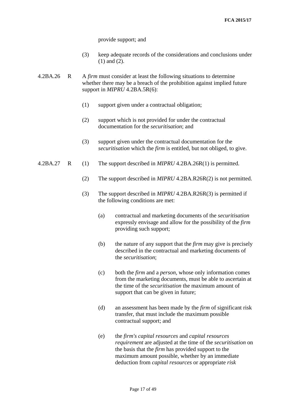provide support; and

- (3) keep adequate records of the considerations and conclusions under (1) and (2).
- 4.2BA.26 R A *[firm](http://fsahandbook.info/FSA/glossary-html/handbook/Glossary/F?definition=G430)* must consider at least the following situations to determine whether there may be a breach of the prohibition against implied future support in *MIPRU* 4.2BA.5R(6):
	- (1) support given under a contractual obligation;
	- (2) support which is not provided for under the contractual documentation for the *securitisation*; and
	- (3) support given under the contractual documentation for the *securitisation* which the *firm* is entitled, but not obliged, to give.
- 4.2BA.27 R (1) The support described in *MIPRU* 4.2BA.26R(1) is permitted.
	- (2) The support described in *MIPRU* 4.2BA.R26R(2) is not permitted.
	- (3) The support described in *MIPRU* 4.2BA.R26R(3) is permitted if the following conditions are met:
		- (a) contractual and marketing documents of the *securitisation* expressly envisage and allow for the possibility of the *firm*  providing such support;
		- (b) the nature of any support that the *[firm](http://fsahandbook.info/FSA/glossary-html/handbook/Glossary/F?definition=G430)* may give is precisely described in the contractual and marketing documents of the *securitisation*;
		- (c) both the *firm* and a *person*, whose only information comes from the marketing documents, must be able to ascertain at the time of the *securitisation* the maximum amount of support that can be given in future;
		- (d) an assessment has been made by the *firm* of significant risk transfer, that must include the maximum possible contractual support; and
		- (e) the *[firm's](http://fsahandbook.info/FSA/glossary-html/handbook/Glossary/F?definition=G430) [capital resources](http://fsahandbook.info/FSA/glossary-html/handbook/Glossary/C?definition=G1499)* and *[capital resources](http://fsahandbook.info/FSA/glossary-html/handbook/Glossary/C?definition=G1500)  [requirement](http://fsahandbook.info/FSA/glossary-html/handbook/Glossary/C?definition=G1500)* are adjusted at the time of the *[securitisation](http://fsahandbook.info/FSA/glossary-html/handbook/Glossary/S?definition=G1331)* on the basis that the *firm* has provided support to the maximum amount possible, whether by an immediate deduction from *capital resources* or appropriate *[risk](http://fsahandbook.info/FSA/glossary-html/handbook/Glossary/R?definition=G2265)*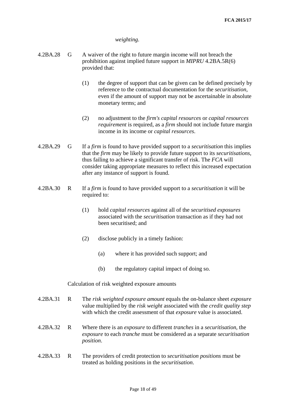## *weighting*.

- 4.2BA.28 G A waiver of the right to future margin income will not breach the prohibition against implied future support in *MIPRU* 4.2BA.5R(6) provided that:
	- (1) the degree of support that can be given can be defined precisely by reference to the contractual documentation for the *securitisation*, even if the amount of support may not be ascertainable in absolute monetary terms; and
	- (2) no adjustment to the *firm's capital resources* or *capital resources requirement* is required, as a *firm* should not include future margin income in its income or *capital resources*.
- 4.2BA.29 G If a *firm* is found to have provided support to a *securitisation* this implies that the *firm* may be likely to provide future support to its *securitisations*, thus failing to achieve a significant transfer of risk. The *FCA* will consider taking appropriate measures to reflect this increased expectation after any instance of support is found.
- 4.2BA.30 R If a *firm* is found to have provided support to a *securitisation* it will be required to:
	- (1) hold *capital resources* against all of the *securitised exposures* associated with the *securitisation* transaction as if they had not been [securitised;](http://fsahandbook.info/FSA/glossary-html/handbook/Glossary/S?definition=G1331) and
	- (2) disclose publicly in a timely fashion:
		- (a) where it has provided such support; and
		- (b) the regulatory capital impact of doing so.

## Calculation of risk weighted exposure amounts

- 4.2BA.31 R The *risk weighted exposure amount* equals the on-balance sheet *exposure*  value multiplied by the *risk weight* associated with the *credit quality step* with which the credit assessment of that *exposure* value is associated.
- 4.2BA.32 R Where there is an *exposure* to different *[tranches](http://fsahandbook.info/FSA/glossary-html/handbook/Glossary/T?definition=G2314)* in a *[securitisation](http://fsahandbook.info/FSA/glossary-html/handbook/Glossary/S?definition=G1331)*, the *[exposure](http://fsahandbook.info/FSA/glossary-html/handbook/Glossary/E?definition=G402)* to each *[tranche](http://fsahandbook.info/FSA/glossary-html/handbook/Glossary/T?definition=G2314)* must be considered as a separate *[securitisation](http://fsahandbook.info/FSA/glossary-html/handbook/Glossary/S?definition=G2276) [position](http://fsahandbook.info/FSA/glossary-html/handbook/Glossary/S?definition=G2276)*.
- 4.2BA.33 R The providers of credit protection to *[securitisation](http://fsahandbook.info/FSA/glossary-html/handbook/Glossary/S?definition=G2276) positions* must be treated as holding positions in the *[securitisation](http://fsahandbook.info/FSA/glossary-html/handbook/Glossary/S?definition=G1331)*.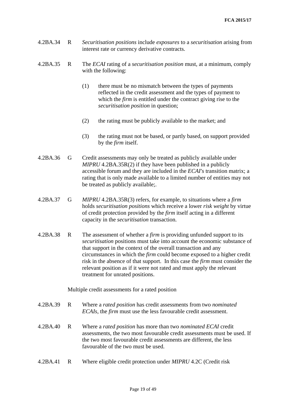- 4.2BA.34 R *[Securitisation](http://fsahandbook.info/FSA/glossary-html/handbook/Glossary/S?definition=G2276) positions* include *[exposures](http://fsahandbook.info/FSA/glossary-html/handbook/Glossary/E?definition=G402)* to a *[securitisation](http://fsahandbook.info/FSA/glossary-html/handbook/Glossary/S?definition=G1331)* arising from interest rate or currency derivative contracts.
- 4.2BA.35 R The *ECAI* rating of a *securitisation position* must, at a minimum, comply with the following:
	- (1) there must be no mismatch between the types of payments reflected in the credit assessment and the types of payment to which the *firm* is entitled under the contract giving rise to the *[securitisation position](http://fsahandbook.info/FSA/glossary-html/handbook/Glossary/S?definition=G2276)* in question;
	- (2) the rating must be publicly available to the market; and
	- (3) the rating must not be based, or partly based, on support provided by the *[firm](http://fsahandbook.info/FSA/glossary-html/handbook/Glossary/F?definition=G430)* itself.
- 4.2BA.36 G Credit assessments may only be treated as publicly available under *MIPRU* 4.2BA.35R(2) if they have been published in a publicly accessible forum and they are included in the *[ECAI's](http://fsahandbook.info/FSA/glossary-html/handbook/Glossary/E?definition=G2108)* transition matrix; a rating that is only made available to a limited number of entities may not be treated as publicly available;.
- 4.2BA.37 G *MIPRU* 4.2BA.35R(3) refers, for example, to situations where a *[firm](http://fsahandbook.info/FSA/glossary-html/handbook/Glossary/F?definition=G430)* holds *[securitisation](http://fsahandbook.info/FSA/glossary-html/handbook/Glossary/S?definition=G2276) positions* which receive a lower *[risk weight](http://fsahandbook.info/FSA/glossary-html/handbook/Glossary/R?definition=G2265)* by virtue of credit protection provided by the *[firm](http://fsahandbook.info/FSA/glossary-html/handbook/Glossary/F?definition=G430)* itself acting in a different capacity in the *[securitisation](http://fsahandbook.info/FSA/glossary-html/handbook/Glossary/S?definition=G1331)* transaction.
- 4.2BA.38 R The assessment of whether a *[firm](http://fsahandbook.info/FSA/glossary-html/handbook/Glossary/F?definition=G430)* is providing unfunded support to its *[securitisation](http://fsahandbook.info/FSA/glossary-html/handbook/Glossary/S?definition=G2276)* positions must take into account the economic substance of that support in the context of the overall transaction and any circumstances in which the *[firm](http://fsahandbook.info/FSA/glossary-html/handbook/Glossary/F?definition=G430)* could become exposed to a higher credit risk in the absence of that support. In this case the *[firm](http://fsahandbook.info/FSA/glossary-html/handbook/Glossary/F?definition=G430)* must consider the relevant position as if it were not rated and must apply the relevant treatment for unrated positions.

Multiple credit assessments for a rated position

- 4.2BA.39 R Where a *rated position* has credit assessments from two *nominated ECAIs*, the *firm* must use the less favourable credit assessment.
- 4.2BA.40 R Where a *rated position* has more than two *nominated ECAI* credit assessments, the two most favourable credit assessments must be used. If the two most favourable credit assessments are different, the less favourable of the two must be used.
- 4.2BA.41 R Where eligible credit protection under *MIPRU* 4.2C (Credit risk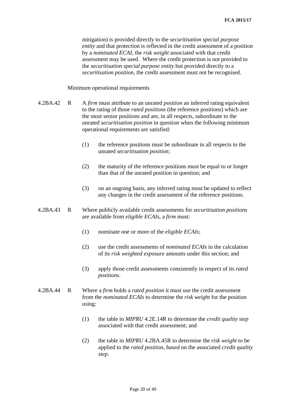mitigation) is provided directly to the *[securitisation special purpose](http://fsahandbook.info/FSA/glossary-html/handbook/Glossary/S?definition=G2291)  [en](http://fsahandbook.info/FSA/glossary-html/handbook/Glossary/S?definition=G2291)tity* and that protection is reflected in the credit assessment of a position by a *nominated ECAI*, the *[risk weight](http://fsahandbook.info/FSA/glossary-html/handbook/Glossary/R?definition=G2265)* associated with that credit assessment may be used. Where the credit protection is not provided to the *[securitisation special purpose e](http://fsahandbook.info/FSA/glossary-html/handbook/Glossary/S?definition=G2291)ntity* but provided directly to a *[securitisation position](http://fsahandbook.info/FSA/glossary-html/handbook/Glossary/S?definition=G2276)*, the credit assessment must not be recognised.

Minimum operational requirements

- 4.2BA.42 R A *firm* must attribute to an unrated *position* an inferred rating equivalent to the rating of those *rated positions* (the reference positions) which are the most senior positions and are, in all respects, subordinate to the unrated *securitisation position* in question when the following minimum operational requirements are satisfied:
	- (1) the reference positions must be subordinate in all respects to the unrated *[securitisation](http://fsahandbook.info/FSA/glossary-html/handbook/Glossary/S?definition=G2276) position*;
	- (2) the maturity of the reference positions must be equal to or longer than that of the [unrated position](http://fsahandbook.info/FSA/glossary-html/handbook/Glossary/U?definition=G2320) in question; and
	- (3) on an ongoing basis, any inferred rating must be updated to reflect any changes in the credit assessment of the reference positions.
- 4.2BA.43 R Where publicly available credit assessments for *securitisation positions* are available from *eligible ECAIs*, a *[firm](http://fsahandbook.info/FSA/glossary-html/handbook/Glossary/F?definition=G430)* must:
	- (1) nominate one or more of the *eligible ECAIs*;
	- (2) use the credit assessments of *nominated ECAIs* in the calculation of its *[risk weighted exposure](http://fsahandbook.info/FSA/glossary-html/handbook/Glossary/R?definition=G2266)* amounts under this section; and
	- (3) apply those credit assessments consistently in respect of its *[rated](http://fsahandbook.info/FSA/glossary-html/handbook/Glossary/S?definition=G2276)  [positions](http://fsahandbook.info/FSA/glossary-html/handbook/Glossary/S?definition=G2276)*.
- 4.2BA.44 R Where a *firm* holds a *rated position* it must use the credit assessment from the *nominated ECAIs* to determine the *risk weight* for the position using:
	- (1) the table in *MIPRU* 4.2E.14R to determine the *credit quality step* associated with that credit assessment; and
	- (2) the table in *MIPRU* 4.2BA.45R to determine the *risk weight* to be applied to the *rated position*, *based* on the associated *credit quality step*.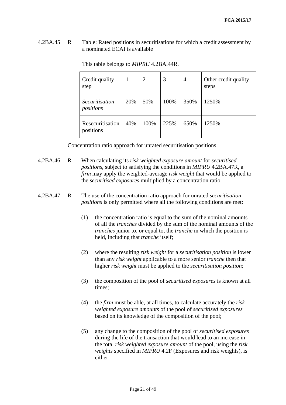4.2BA.45 R Table: Rated positions in securitisations for which a credit assessment by a nominated ECAI is available

| Credit quality<br>step             | 1   | $\overline{2}$ | 3    | 4    | Other credit quality<br>steps |
|------------------------------------|-----|----------------|------|------|-------------------------------|
| <i>Securitisation</i><br>positions | 20% | 50%            | 100% | 350% | 1250%                         |
| Resecuritisation<br>positions      | 40% | 100%           | 225% | 650% | 1250%                         |

This table belongs to *MIPRU* 4.2BA.44R.

Concentration ratio approach for unrated securitisation positions

4.2BA.46 R When calculating its *risk weighted exposure amount* for *securitised positions*, subject to satisfying the conditions in *MIPRU* 4.2BA.47R, a *[firm](http://fsahandbook.info/FSA/glossary-html/handbook/Glossary/F?definition=G430)* may apply the weighted-average *[risk weight](http://fsahandbook.info/FSA/glossary-html/handbook/Glossary/R?definition=G2265)* that would be applied to the *[securitised exposures](http://fsahandbook.info/FSA/glossary-html/handbook/Glossary/S?definition=G2278)* multiplied by a concentration ratio.

## 4.2BA.47 R The use of the concentration ratio approach for unrated *securitisation positions* is only permitted where all the following conditions are met:

- (1) the concentration ratio is equal to the sum of the nominal amounts of all the *[tranches](http://fsahandbook.info/FSA/glossary-html/handbook/Glossary/T?definition=G2314)* divided by the sum of the nominal amounts of the *[tranches](http://fsahandbook.info/FSA/glossary-html/handbook/Glossary/T?definition=G2314)* junior to, or equal to, the *[tranche](http://fsahandbook.info/FSA/glossary-html/handbook/Glossary/T?definition=G2314)* in which the position is held, including that *[tranche](http://fsahandbook.info/FSA/glossary-html/handbook/Glossary/T?definition=G2314)* itself;
- (2) where the resulting *[risk weight](http://fsahandbook.info/FSA/glossary-html/handbook/Glossary/R?definition=G2265)* for a *securitisation position* is lower than any *[risk weight](http://fsahandbook.info/FSA/glossary-html/handbook/Glossary/R?definition=G2265)* applicable to a more senior *[tranche](http://fsahandbook.info/FSA/glossary-html/handbook/Glossary/T?definition=G2314)* then that higher *risk weight* must be applied to the *securitisation position*;
- (3) the composition of the pool of *securitised exposures* is known at all times;
- (4) the *firm* must be able, at all times, to calculate accurately the *[risk](http://fshandbook.info/FS/glossary-html/handbook/Glossary/R?definition=G2266)  [weighted exposure](http://fshandbook.info/FS/glossary-html/handbook/Glossary/R?definition=G2266) amounts* of the pool of *securitised exposures* based on its knowledge of the composition of the pool;
- (5) any change to the composition of the pool of *securitised exposures* during the life of the transaction that would lead to an increase in the total *[risk weighted exposure](http://fshandbook.info/FS/glossary-html/handbook/Glossary/R?definition=G2266) amount* of the pool, using the *risk weights* specified in *MIPRU* 4.2F (Exposures and risk weights), is either: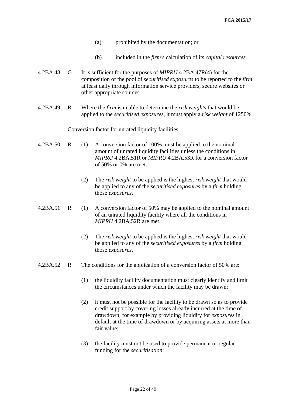- (a) prohibited by the documentation; or
- (b) included in the *[firm's](http://fshandbook.info/FS/glossary-html/handbook/Glossary/F?definition=G430)* calculation of its *capital resources*.
- 4.2BA.48 G It is sufficient for the purposes of *MIPRU* 4.2BA.47R(4) for the composition of the pool of *securitised exposures* to be reported to the *[firm](http://fshandbook.info/FS/glossary-html/handbook/Glossary/F?definition=G430)* at least daily through information service providers, secure websites or other appropriate sources.
- 4.2BA.49 R Where the *[firm](http://fsahandbook.info/FSA/glossary-html/handbook/Glossary/F?definition=G430)* is unable to determine the *[risk weights](http://fsahandbook.info/FSA/glossary-html/handbook/Glossary/R?definition=G2265)* that would be applied to the *[securitised exposures](http://fsahandbook.info/FSA/glossary-html/handbook/Glossary/S?definition=G2278)*, it must apply a *[risk weight](http://fsahandbook.info/FSA/glossary-html/handbook/Glossary/R?definition=G2265)* of 1250%.

#### Conversion factor for unrated liquidity facilities

- 4.2BA.50 R (1) A conversion factor of 100% must be applied to the nominal amount of unrated liquidity facilities unless the conditions in *MIPRU* 4.2BA.51R or *MIPRU* 4.2BA.53R for a conversion factor of 50% or 0% are met.
	- (2) The *risk weight* to be applied is the highest *risk weight* that would be applied to any of the *securitised exposures* by a *firm* holding those *exposures*.
- 4.2BA.51 R (1) A conversion factor of 50% may be applied to the nominal amount of an unrated liquidity facility where all the conditions in *MIPRU* 4.2BA.52R are met.
	- (2) The *risk weight* to be applied is the highest *risk weight* that would be applied to any of the *securitised exposures* by a *firm* holding those *exposures*.
- 4.2BA.52 R The conditions for the application of a conversion factor of 50% are:
	- (1) the [liquidity facility](http://fsahandbook.info/FSA/glossary-html/handbook/Glossary/L?definition=G2176) documentation must clearly identify and limit the circumstances under which the facility may be drawn;
	- (2) it must not be possible for the facility to be drawn so as to provide credit support by covering losses already incurred at the time of drawdown, for example by providing liquidity for *exposures* in default at the time of drawdown or by acquiring assets at more than fair value;
	- (3) the facility must not be used to provide permanent or regular funding for the *securitisation*;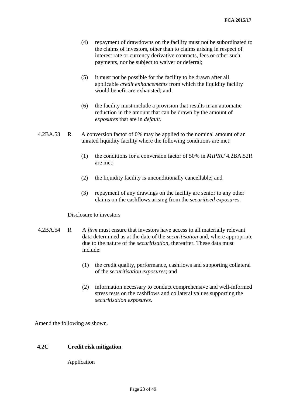- (4) repayment of drawdowns on the facility must not be subordinated to the claims of investors, other than to claims arising in respect of interest rate or currency derivative contracts, fees or other such payments, nor be subject to waiver or deferral;
- (5) it must not be possible for the facility to be drawn after all applicable *[credit enhancements](http://fsahandbook.info/FSA/glossary-html/handbook/Glossary/C?definition=G2087)* from which the [liquidity facility](http://fsahandbook.info/FSA/glossary-html/handbook/Glossary/L?definition=G2176) would benefit are exhausted; and
- (6) the facility must include a provision that results in an automatic reduction in the amount that can be drawn by the amount of *exposures* that are in *[default](http://fsahandbook.info/FSA/glossary-html/handbook/Glossary/D?definition=G2100)*.
- 4.2BA.53 R A conversion factor of 0% may be applied to the nominal amount of an unrated [liquidity facility](http://fsahandbook.info/FSA/glossary-html/handbook/Glossary/L?definition=G2176) where the following conditions are met:
	- (1) the conditions for a conversion factor of 50% in *MIPRU* 4.2BA.52R are met;
	- (2) the [liquidity facility](http://fsahandbook.info/FSA/glossary-html/handbook/Glossary/L?definition=G2176) is unconditionally cancellable; and
	- (3) repayment of any drawings on the facility are senior to any other claims on the cashflows arising from the *securitised exposures*.

#### Disclosure to investors

- 4.2BA.54 R A *firm* must ensure that investors have access to all materially relevant data determined as at the date of the *securitisation* and, where appropriate due to the nature of the *securitisation,* thereafter. These data must include:
	- (1) the credit quality, performance, cashflows and supporting collateral of the *securitisation exposures*; and
	- (2) information necessary to conduct comprehensive and well-informed stress tests on the cashflows and collateral values supporting the *securitisation exposures*.

Amend the following as shown.

## **4.2C Credit risk mitigation**

Application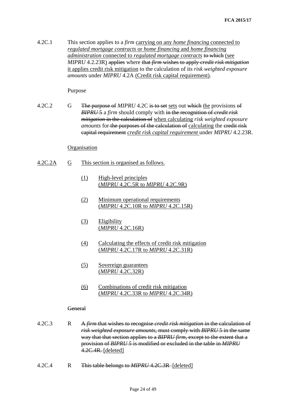4.2C.1 This section applies to a *firm* carrying on any *home financing* connected to *regulated mortgage contracts* or *home financing* and *home financing administration* connected to *regulated mortgage contracts* to which (see *MIPRU* 4.2.23R) applies where that *firm* wishes to apply *credit risk mitigation* it applies credit risk mitigation to the calculation of its *risk weighted exposure amounts* under *MIPRU* 4.2A (Credit risk capital requirement).

#### Purpose

4.2C.2 G The purpose of *MIPRU* 4.2C is to set sets out which the provisions of *BIPRU* 5 a *firm* should comply with in the recognition of *credit risk mitigation* in the calculation of when calculating *risk weighted exposure amounts* for the purposes of the calculation of calculating the eredit risk capital requirement *credit risk capital requirement* under *MIPRU* 4.2.23R.

## Organisation

- 4.2C.2A G This section is organised as follows.
	- (1) High-level principles (*MIPRU* 4.2C.5R to *MIPRU* 4.2C.9R)
	- (2) Minimum operational requirements (*MIPRU* 4.2C.10R to *MIPRU* 4.2C.15R)
	- (3) Eligibility (*MIPRU* 4.2C.16R)
	- (4) Calculating the effects of credit risk mitigation (*MIPRU* 4.2C.17R to *MIPRU* 4.2C.31R)
	- (5) Sovereign guarantees (*MIPRU* 4.2C.32R)
	- (6) Combinations of credit risk mitigation (*MIPRU* 4.2C.33R to *MIPRU* 4.2C.34R)

#### General

- 4.2C.3 R A *firm* that wishes to recognise *credit risk mitigation* in the calculation of *risk weighted exposure amounts*, must comply with *BIPRU* 5 in the same way that that section applies to a *BIPRU firm*, except to the extent that a provision of *BIPRU 5* is modified or excluded in the table in *MIPRU* 4.2C.4R. [deleted]
- 4.2C.4 R This table belongs to *MIPRU* 4.2C.3R [deleted]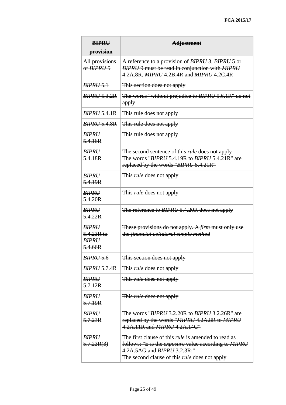| <b>BIPRU</b><br>provision                               | <b>Adjustment</b>                                                                                                                                                                                                              |
|---------------------------------------------------------|--------------------------------------------------------------------------------------------------------------------------------------------------------------------------------------------------------------------------------|
| All provisions<br>of BIPRU <sub>5</sub>                 | A reference to a provision of BIPRU 3, BIPRU 5 or<br>BIPRU 9 must be read in conjunction with MIPRU<br>4.2A.8R, MIPRU 4.2B.4R and MIPRU 4.2C.4R                                                                                |
| <b>BIPRU 5.1</b>                                        | This section does not apply                                                                                                                                                                                                    |
| <b>BIPRU 5.3.2R</b>                                     | The words "without prejudice to BIPRU 5.6.1R" do not<br>apply                                                                                                                                                                  |
| <b>BIPRU 5.4.1R</b>                                     | This rule does not apply                                                                                                                                                                                                       |
| <b>BIPRU 5.4.8R</b>                                     | This rule does not apply                                                                                                                                                                                                       |
| <b>BIPRU</b><br>5.4.16R                                 | This rule does not apply                                                                                                                                                                                                       |
| <b>BIPRU</b><br>5.4.18R                                 | The second sentence of this <i>rule</i> does not apply<br>The words "BIPRU 5.4.19R to BIPRU 5.4.21R" are<br>replaced by the words "BIPRU 5.4.21R"                                                                              |
| <b>BIPRU</b><br>5.4.19R                                 | This <i>rule</i> does not apply                                                                                                                                                                                                |
| <b>BIPRU</b><br>5.4.20R                                 | This <i>rule</i> does not apply                                                                                                                                                                                                |
| <b>BIPRU</b><br>5.4.22R                                 | The reference to BIPRU 5.4.20R does not apply                                                                                                                                                                                  |
| <b>BIPRU</b><br>$5.4.23R$ to<br><b>BIPRI</b><br>5.4.66R | These provisions do not apply. A <i>firm</i> must only use<br>the financial collateral simple method                                                                                                                           |
| <b>BIPRU 5.6</b>                                        | This section does not apply                                                                                                                                                                                                    |
| <b>BIPRU 5.7.4R</b>                                     | This <i>rule</i> does not apply                                                                                                                                                                                                |
| <b>BIPRU</b><br>5.7.12R                                 | This <i>rule</i> does not apply                                                                                                                                                                                                |
| <b>BIPRU</b><br>5.7.19R                                 | This <i>rule</i> does not apply                                                                                                                                                                                                |
| <b>BIPRU</b><br>5.7.23R                                 | The words "BIPRU 3.2.20R to BIPRU 3.2.26R" are<br>replaced by the words "MIPRU 4.2A.8R to MIPRU<br>4.2A.11R and <i>MIPRU</i> 4.2A.14G"                                                                                         |
| <b>BIPRU</b><br>5.7.23R(3)                              | The first clause of this <i>rule</i> is amended to read as<br>follows: "E is the <i>exposure</i> value according to <i>MIPRU</i><br>4.2A.5AG and <i>BIPRU</i> 3.2.3R;"<br>The second clause of this <i>rule</i> does not apply |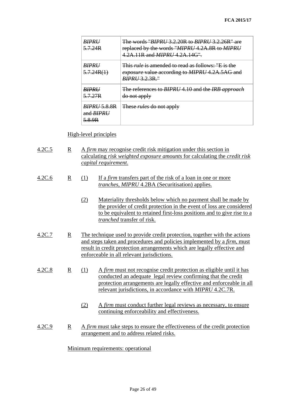| <b>BIPRI</b><br>5.7.24R                    | The words "BIPRII 3.2.20R to BIPRII 3.2.26R" are<br>replaced by the words "MIPRU 4.2A.8R to MIPRU<br>4.2A.11R and <i>MIPRU</i> 4.2A.14G".     |
|--------------------------------------------|-----------------------------------------------------------------------------------------------------------------------------------------------|
| <b>BIPRH</b><br>5.7.24R(1)                 | This <i>rule</i> is amended to read as follows: "E is the<br><i>exposure</i> value according to <i>MIPRU</i> 4.2A.5AG and<br>$RIPRI/3.2.3R$ " |
| <b>BIPRI</b><br>5.7.27R                    | The references to BIPRU 4.10 and the IRB approach<br>do not apply                                                                             |
| $RIPRU$ 5 8 8 R<br>and $RIPRI$<br>$5.8$ QR | These <i>rules</i> do not apply                                                                                                               |

## High-level principles

| 4.2C.5 | $\mathbb{R}$ | A <i>firm</i> may recognise credit risk mitigation under this section in   |
|--------|--------------|----------------------------------------------------------------------------|
|        |              | calculating risk weighted exposure amounts for calculating the credit risk |
|        |              | capital requirement.                                                       |

- 4.2C.6 R (1) If a *firm* transfers part of the risk of a loan in one or more *tranches*, *MIPRU* 4.2BA (Securitisation) applies.
	- (2) Materiality thresholds below which no payment shall be made by the provider of credit protection in the event of loss are considered to be equivalent to retained first-loss positions and to give rise to a *tranched* transfer of risk.
- 4.2C.7 R The technique used to provide credit protection, together with the actions and steps taken and procedures and policies implemented by a *firm*, must result in credit protection arrangements which are legally effective and enforceable in all relevant jurisdictions.
- 4.2C.8 R (1) A *firm* must not recognise credit protection as eligible until it has conducted an adequate legal review confirming that the credit protection arrangements are legally effective and enforceable in all relevant jurisdictions, in accordance with *MIPRU* 4.2C.7R.
	- (2) A *firm* must conduct further legal reviews as necessary, to ensure continuing enforceability and effectiveness.
- 4.2C.9 R A *firm* must take steps to ensure the effectiveness of the credit protection arrangement and to address related risks.

## Minimum requirements: operational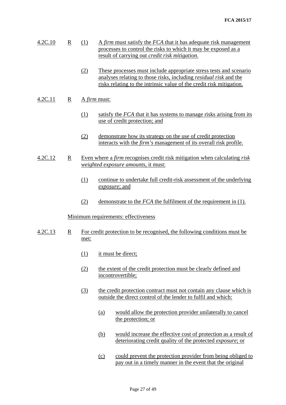- 4.2C.10 R (1) A *firm* must satisfy the *FCA* that it has adequate risk management processes to control the risks to which it may be exposed as a result of carrying out *credit risk mitigation*.
	- (2) These processes must include appropriate stress tests and scenario analyses relating to those risks, including *residual risk* and the risks relating to the intrinsic value of the credit risk mitigation.

## 4.2C.11 R A *firm* must:

- (1) satisfy the *FCA* that it has systems to manage risks arising from its use of credit protection; and
- (2) demonstrate how its strategy on the use of credit protection interacts with the *firm's* management of its overall risk profile.
- 4.2C.12 R Even where a *firm* recognises credit risk mitigation when calculating *risk weighted exposure amounts*, it must:
	- (1) continue to undertake full credit-risk assessment of the underlying *exposure*; and
	- (2) demonstrate to the *FCA* the fulfilment of the requirement in (1).

## Minimum requirements: effectiveness

- 4.2C.13 R For credit protection to be recognised, the following conditions must be met:
	- (1) it must be direct;
	- (2) the extent of the credit protection must be clearly defined and incontrovertible;
	- (3) the credit protection contract must not contain any clause which is outside the direct control of the lender to fulfil and which:
		- (a) would allow the protection provider unilaterally to cancel the protection; or
		- (b) would increase the effective cost of protection as a result of deteriorating credit quality of the protected *exposure*; or
		- (c) could prevent the protection provider from being obliged to pay out in a timely manner in the event that the original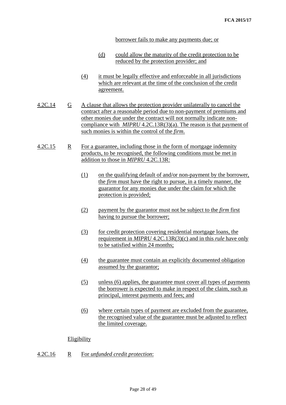borrower fails to make any payments due; or

- (d) could allow the maturity of the credit protection to be reduced by the protection provider; and
- (4) it must be legally effective and enforceable in all jurisdictions which are relevant at the time of the conclusion of the credit agreement.
- 4.2C.14 G A clause that allows the protection provider unilaterally to cancel the contract after a reasonable period due to non-payment of premiums and other monies due under the contract will not normally indicate noncompliance with *MIPRU* 4.2C.13R(3)(a). The reason is that payment of such monies is within the control of the *firm*.
- 4.2C.15 R For a guarantee, including those in the form of mortgage indemnity products, to be recognised, the following conditions must be met in addition to those in *MIPRU* 4.2C.13R:
	- (1) on the qualifying default of and/or non-payment by the borrower, the *firm* must have the right to pursue, in a timely manner, the guarantor for any monies due under the claim for which the protection is provided;
	- (2) payment by the guarantor must not be subject to the *firm* first having to pursue the borrower;
	- (3) for credit protection covering residential mortgage loans, the requirement in *MIPRU* 4.2C.13R(3)(c) and in this *rule* have only to be satisfied within 24 months;
	- (4) the guarantee must contain an explicitly documented obligation assumed by the guarantor;
	- (5) unless (6) applies, the guarantee must cover all types of payments the borrower is expected to make in respect of the claim, such as principal, interest payments and fees; and
	- (6) where certain types of payment are excluded from the guarantee, the recognised value of the guarantee must be adjusted to reflect the limited coverage.

## **Eligibility**

4.2C.16 R For *unfunded credit protection*: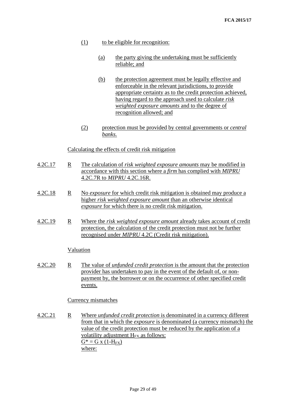- (1) to be eligible for recognition:
	- (a) the party giving the undertaking must be sufficiently reliable; and
	- (b) the protection agreement must be legally effective and enforceable in the relevant jurisdictions, to provide appropriate certainty as to the credit protection achieved, having regard to the approach used to calculate *risk weighted exposure amounts* and to the degree of recognition allowed; and
- (2) protection must be provided by central governments or *central banks.*

## Calculating the effects of credit risk mitigation

- 4.2C.17 R The calculation of *risk weighted exposure amounts* may be modified in accordance with this section where a *firm* has complied with *MIPRU* 4.2C.7R to *MIPRU* 4.2C.16R.
- 4.2C.18 R No *exposure* for which credit risk mitigation is obtained may produce a higher *risk weighted exposure amount* than an otherwise identical *exposure* for which there is no credit risk mitigation.
- 4.2C.19 R Where the *risk weighted exposure amount* already takes account of credit protection, the calculation of the credit protection must not be further recognised under *MIPRU* 4.2C (Credit risk mitigation).

## Valuation

4.2C.20 R The value of *unfunded credit protection* is the amount that the protection provider has undertaken to pay in the event of the default of, or nonpayment by, the borrower or on the occurrence of other specified credit events.

## Currency mismatches

4.2C.21 R Where *unfunded credit protection* is denominated in a currency different from that in which the *exposure* is denominated (a currency mismatch) the value of the credit protection must be reduced by the application of a volatility adjustment  $H_{FX}$  as follows:  $G^* = G x (1-H_{FX})$ where: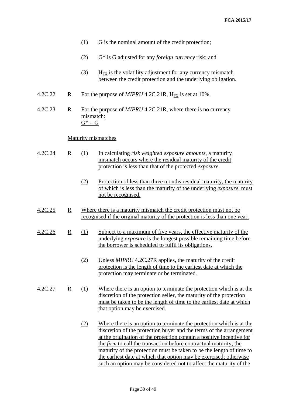| G is the nominal amount of the credit protection;<br>(1) |
|----------------------------------------------------------|
|----------------------------------------------------------|

- (2) G\* is G adjusted for any *foreign currency* risk; and
- (3)  $H_{FX}$  is the volatility adjustment for any currency mismatch between the credit protection and the underlying obligation.
- 4.2C.22 R For the purpose of *MIPRU* 4.2C.21R, H<sub>FX</sub> is set at 10%.
- 4.2C.23 R For the purpose of *MIPRU* 4.2C.21R, where there is no currency mismatch:  $G^* = G$

## Maturity mismatches

- 4.2C.24 R (1) In calculating *risk weighted exposure amounts*, a maturity mismatch occurs where the residual maturity of the credit protection is less than that of the protected *exposure*.
	- (2) Protection of less than three months residual maturity, the maturity of which is less than the maturity of the underlying *exposure*, must not be recognised.
- 4.2C.25 R Where there is a maturity mismatch the credit protection must not be recognised if the original maturity of the protection is less than one year.
- 4.2C.26 R (1) Subject to a maximum of five years, the effective maturity of the underlying *exposure* is the longest possible remaining time before the borrower is scheduled to fulfil its obligations.
	- (2) Unless *MIPRU* 4.2C.27R applies, the maturity of the credit protection is the length of time to the earliest date at which the protection may terminate or be terminated.
- 4.2C.27 R (1) Where there is an option to terminate the protection which is at the discretion of the protection seller, the maturity of the protection must be taken to be the length of time to the earliest date at which that option may be exercised.
	- (2) Where there is an option to terminate the protection which is at the discretion of the protection buyer and the terms of the arrangement at the origination of the protection contain a positive incentive for the *firm* to call the transaction before contractual maturity, the maturity of the protection must be taken to be the length of time to the earliest date at which that option may be exercised; otherwise such an option may be considered not to affect the maturity of the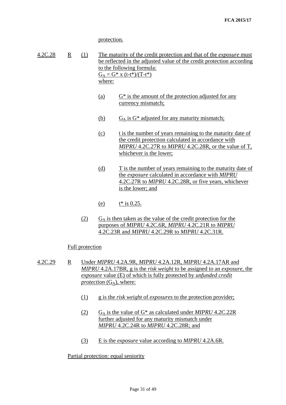protection.

| 4.2C.28 | $\mathbb{R}$ | (1) | The maturity of the credit protection and that of the <i>exposure</i> must |
|---------|--------------|-----|----------------------------------------------------------------------------|
|         |              |     | be reflected in the adjusted value of the credit protection according      |
|         |              |     | to the following formula:                                                  |
|         |              |     | $G_A = G^*$ x (t-t*)/(T-t*)                                                |
|         |              |     | where:                                                                     |

- (a)  $G^*$  is the amount of the protection adjusted for any currency mismatch;
- (b)  $G_A$  is  $G^*$  adjusted for any maturity mismatch;
- (c) t is the number of years remaining to the maturity date of the credit protection calculated in accordance with *MIPRU* 4.2C.27R to *MIPRU* 4.2C.28R, or the value of T, whichever is the lower;
- (d) T is the number of years remaining to the maturity date of the *exposure* calculated in accordance with *MIPRU*  4.2C.27R to *MIPRU* 4.2C.28R, or five years, whichever is the lower; and
- (e)  $t^*$  is 0.25.
- $(C_4)$  G<sub>A</sub> is then taken as the value of the credit protection for the purposes of *MIPRU* 4.2C.6R, *MIPRU* 4.2C.21R to *MIPRU*  4.2C.23R and *MIPRU* 4.2C.29R to *MIPRU* 4.2C.31R.

## Full protection

- 4.2C.29 R Under *MIPRU* 4.2A.9R, *MIPRU* 4.2A.12R, *MIPRU* 4.2A.17AR and *MIPRU* 4.2A.17BR, g is the *risk weight* to be assigned to an *exposure*, the *exposure* value (E) of which is fully protected by *unfunded credit protection*  $(G_A)$ , where:
	- (1) g is the *risk weight* of *exposures* to the protection provider;
	- (2) GA is the value of G\* as calculated under *MIPRU* 4.2C.22R further adjusted for any maturity mismatch under *MIPRU* 4.2C.24R to *MIPRU* 4.2C.28R; and
	- (3) E is the *exposure* value according to *MIPRU* 4.2A.6R.

## Partial protection: equal seniority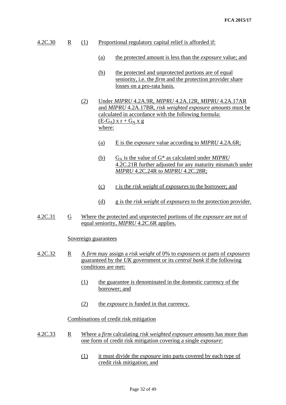- 4.2C.30 R (1) Proportional regulatory capital relief is afforded if:
	- (a) the protected amount is less than the *exposure* value; and
	- (b) the protected and unprotected portions are of equal seniority, i.e. the *firm* and the protection provider share losses on a pro-rata basis.
	- (2) Under *MIPRU* 4.2A.9R, *MIPRU* 4.2A.12R, *MIPRU* 4.2A.17AR and *MIPRU* 4.2A.17BR, *risk weighted exposure amounts* must be calculated in accordance with the following formula:  $(E-G_A)$  x r +  $G_A$  x g where:
		- (a) E is the *exposure* value according to *MIPRU* 4.2A.6R;
		- (b) GA is the value of G\* as calculated under *MIPRU* 4.2C.21R further adjusted for any maturity mismatch under *MIPRU* 4.2C.24R to *MIPRU* 4.2C.28R;
		- (c) r is the *risk weight* of *exposures* to the borrower; and
		- (d) g is the *risk weight* of *exposures* to the protection provider.
- 4.2C.31 G Where the protected and unprotected portions of the *exposure* are not of equal seniority, *MIPRU* 4.2C.6R applies.

## Sovereign guarantees

- 4.2C.32 R A *firm* may assign a *risk weight* of 0% to *exposures* or parts of *exposures* guaranteed by the *UK* government or its *central bank* if the following conditions are met:
	- (1) the guarantee is denominated in the domestic currency of the borrower; and
	- (2) the *exposure* is funded in that currency.

## Combinations of credit risk mitigation

- 4.2C.33 R Where a *firm* calculating *risk weighted exposure amounts* has more than one form of credit risk mitigation covering a single *exposure*:
	- (1) it must divide the *exposure* into parts covered by each type of credit risk mitigation; and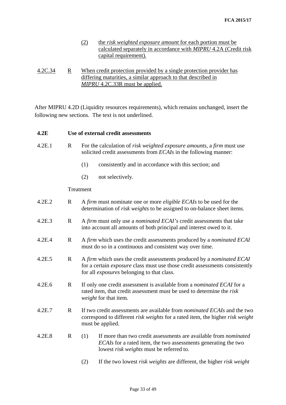- (2) the *risk weighted exposure amount* for each portion must be calculated separately in accordance with *MIPRU* 4.2A (Credit risk capital requirement)*.*
- 4.2C.34 R When credit protection provided by a single protection provider has differing maturities, a similar approach to that described in *MIPRU* 4.2C.33R must be applied.

After MIPRU 4.2D (Liquidity resources requirements), which remains unchanged, insert the following new sections. The text is not underlined.

| 4.2E   |              | Use of external credit assessments                                                                                                                                                                        |  |  |  |  |  |
|--------|--------------|-----------------------------------------------------------------------------------------------------------------------------------------------------------------------------------------------------------|--|--|--|--|--|
| 4.2E.1 | $\mathbf R$  | For the calculation of <i>risk weighted exposure amounts</i> , a <i>firm</i> must use<br>solicited credit assessments from <i>ECAIs</i> in the following manner:                                          |  |  |  |  |  |
|        |              | consistently and in accordance with this section; and<br>(1)                                                                                                                                              |  |  |  |  |  |
|        |              | (2)<br>not selectively.                                                                                                                                                                                   |  |  |  |  |  |
|        |              | Treatment                                                                                                                                                                                                 |  |  |  |  |  |
| 4.2E.2 | $\mathbf{R}$ | A firm must nominate one or more <i>eligible ECAIs</i> to be used for the<br>determination of <i>risk weights</i> to be assigned to on-balance sheet items.                                               |  |  |  |  |  |
| 4.2E.3 | $\mathbf R$  | A firm must only use a nominated ECAI's credit assessments that take<br>into account all amounts of both principal and interest owed to it.                                                               |  |  |  |  |  |
| 4.2E.4 | $\mathbf R$  | A firm which uses the credit assessments produced by a nominated ECAI<br>must do so in a continuous and consistent way over time.                                                                         |  |  |  |  |  |
| 4.2E.5 | $\mathbf R$  | A firm which uses the credit assessments produced by a nominated ECAI<br>for a certain exposure class must use those credit assessments consistently<br>for all <i>exposures</i> belonging to that class. |  |  |  |  |  |
| 4.2E.6 | $\mathbf{R}$ | If only one credit assessment is available from a <i>nominated ECAI</i> for a<br>rated item, that credit assessment must be used to determine the risk<br>weight for that item.                           |  |  |  |  |  |
| 4.2E.7 | $\mathbf R$  | If two credit assessments are available from <i>nominated ECAIs</i> and the two<br>correspond to different risk weights for a rated item, the higher risk weight<br>must be applied.                      |  |  |  |  |  |
| 4.2E.8 | $\mathbf{R}$ | If more than two credit assessments are available from nominated<br>(1)<br>ECAIs for a rated item, the two assessments generating the two<br>lowest risk weights must be referred to.                     |  |  |  |  |  |
|        |              | If the two lowest risk weights are different, the higher risk weight<br>(2)                                                                                                                               |  |  |  |  |  |
|        |              |                                                                                                                                                                                                           |  |  |  |  |  |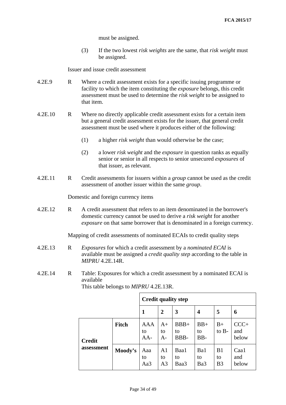must be assigned.

(3) If the two lowest *risk weights* are the same, that *risk weight* must be assigned.

Issuer and issue credit assessment

- 4.2E.9 R Where a credit assessment exists for a specific issuing programme or facility to which the item constituting the *exposure* belongs, this credit assessment must be used to determine the *risk weight* to be assigned to that item.
- 4.2E.10 R Where no directly applicable credit assessment exists for a certain item but a general credit assessment exists for the issuer, that general credit assessment must be used where it produces either of the following:
	- (1) a higher *risk weight* than would otherwise be the case;
	- (2) a lower *risk weight* and the *exposure* in question ranks as equally senior or senior in all respects to senior unsecured *exposures* of that issuer, as relevant.
- 4.2E.11 R Credit assessments for issuers within a *group* cannot be used as the credit assessment of another issuer within the same *group*.

Domestic and foreign currency items

4.2E.12 R A credit assessment that refers to an item denominated in the borrower's domestic currency cannot be used to derive a *risk weight* for another *exposure* on that same borrower that is denominated in a foreign currency.

Mapping of credit assessments of nominated ECAIs to credit quality steps

- 4.2E.13 R *Exposures* for which a credit assessment by a *nominated ECAI* is available must be assigned a *credit quality step* according to the table in *MIPRU* 4.2E.14R.
- 4.2E.14 R Table: Exposures for which a credit assessment by a nominated ECAI is available

|               |              | <b>Credit quality step</b> |                                        |                      |                      |                            |                        |
|---------------|--------------|----------------------------|----------------------------------------|----------------------|----------------------|----------------------------|------------------------|
|               |              | 1                          | $\mathbf{2}$                           | 3                    | 4                    | 5                          | 6                      |
| <b>Credit</b> | <b>Fitch</b> | <b>AAA</b><br>to<br>$AA-$  | A+<br>to<br>$A-$                       | $BBB+$<br>to<br>BBB- | $BB+$<br>to<br>$BB-$ | $B+$<br>to B-              | $CCC+$<br>and<br>below |
| assessment    | Moody's      | Aaa<br>to<br>Aa3           | A <sub>1</sub><br>to<br>A <sub>3</sub> | Baa1<br>to<br>Baa3   | Ba1<br>to<br>Ba3     | B1<br>to<br>B <sub>3</sub> | Caa1<br>and<br>below   |

This table belongs to *MIPRU* 4.2E.13R.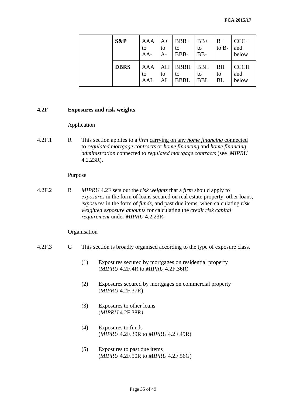| S&P         | AAA<br>to<br>$AA-$ | $A+$<br>to<br>A- | $BBB+$<br>to<br>BBB-             | $\vert$ BB+<br>to<br>$BB-$ | $B+$<br>to $B-$       | $CCC+$<br>and<br>below      |
|-------------|--------------------|------------------|----------------------------------|----------------------------|-----------------------|-----------------------------|
| <b>DBRS</b> | AAA<br>to<br>AAL   | AH<br>to<br>AL   | <b>BBBH</b><br>to<br><b>BBBL</b> | <b>BBH</b><br>to<br>BBL    | <b>BH</b><br>to<br>BL | <b>CCCH</b><br>and<br>below |

## **4.2F Exposures and risk weights**

## Application

4.2F.1 R This section applies to a *firm* carrying on any *home financing* connected to *regulated mortgage contracts* or *home financing* and *home financing administration* connected to *regulated mortgage contracts* (see *MIPRU* 4.2.23R).

#### Purpose

4.2F.2 R *MIPRU* 4.2F sets out the *risk weights* that a *firm* should apply to *exposures* in the form of loans secured on real estate property, other loans, *exposures* in the form of *funds*, and past due items, when calculating *risk weighted exposure amounts* for calculating the *credit risk capital requirement* under *MIPRU* 4.2.23R.

#### **Organisation**

## 4.2F.3 G This section is broadly organised according to the type of exposure class.

- (1) Exposures secured by mortgages on residential property (*MIPRU* 4.2F.4R to *MIPRU* 4.2F.36R)
- (2) Exposures secured by mortgages on commercial property (*MIPRU* 4.2F.37R)
- (3) Exposures to other loans (*MIPRU* 4.2F.38R*)*
- (4) Exposures to funds (*MIPRU* 4.2F.39R to *MIPRU* 4.2F.49R)
- (5) Exposures to past due items (*MIPRU* 4.2F.50R to *MIPRU* 4.2F.56G)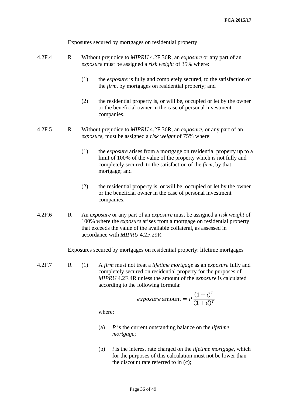Exposures secured by mortgages on residential property

- 4.2F.4 R Without prejudice to *MIPRU* 4.2F.36R, an *exposure* or any part of an *exposure* must be assigned a *risk weight* of 35% where:
	- (1) the *exposure* is fully and completely secured, to the satisfaction of the *firm*, by mortgages on residential property; and
	- (2) the residential property is, or will be, occupied or let by the owner or the beneficial owner in the case of personal investment companies.

4.2F.5 R Without prejudice to *MIPRU* 4.2F.36R, an *exposure*, or any part of an *exposure*, must be assigned a *risk weight* of 75% where:

- (1) the *exposure* arises from a mortgage on residential property up to a limit of 100% of the value of the property which is not fully and completely secured, to the satisfaction of the *firm*, by that mortgage; and
- (2) the residential property is, or will be, occupied or let by the owner or the beneficial owner in the case of personal investment companies.
- 4.2F.6 R An *exposure* or any part of an *exposure* must be assigned a *risk weight* of 100% where the *exposure* arises from a mortgage on residential property that exceeds the value of the available collateral, as assessed in accordance with *MIPRU* 4.2F.29R.

Exposures secured by mortgages on residential property: lifetime mortgages

4.2F.7 R (1) A *firm* must not treat a *lifetime mortgage* as an *exposure* fully and completely secured on residential property for the purposes of *MIPRU* 4.2F.4R unless the amount of the *exposure* is calculated according to the following formula:

*exposure* amount = 
$$
P \frac{(1+i)^T}{(1+d)^T}
$$

where:

- (a) *P* is the current outstanding balance on the *lifetime mortgage*;
- (b) *i* is the interest rate charged on the *lifetime mortgage*, which for the purposes of this calculation must not be lower than the discount rate referred to in (c);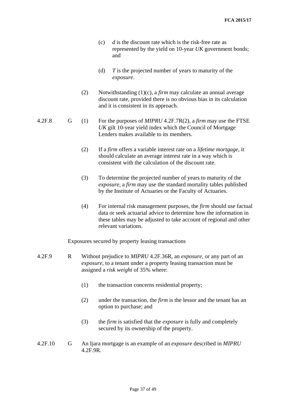- (c) *d* is the discount rate which is the risk-free rate as represented by the yield on 10-year *UK* government bonds; and
- (d) *T* is the projected number of years to maturity of the *exposure*.
- (2) Notwithstanding (1)(c), a *firm* may calculate an annual average discount rate, provided there is no obvious bias in its calculation and it is consistent in its approach.
- 4.2F.8 G (1) For the purposes of *MIPRU* 4.2F.7R(2), a *firm* may use the FTSE *UK* gilt 10-year yield index which the Council of Mortgage Lenders makes available to its members.
	- (2) If a *firm* offers a variable interest rate on a *lifetime mortgage*, it should calculate an average interest rate in a way which is consistent with the calculation of the discount rate.
	- (3) To determine the projected number of years to maturity of the *exposure*, a *firm* may use the standard mortality tables published by the Institute of Actuaries or the Faculty of Actuaries.
	- (4) For internal risk management purposes, the *firm* should use factual data or seek actuarial advice to determine how the information in these tables may be adjusted to take account of regional and other relevant variations.

Exposures secured by property leasing transactions

- 4.2F.9 R Without prejudice to *MIPRU* 4.2F.36R, an *exposure*, or any part of an *exposure*, to a tenant under a property leasing transaction must be assigned a *risk weight* of 35% where:
	- (1) the transaction concerns residential property;
	- (2) under the transaction, the *firm* is the lessor and the tenant has an option to purchase; and
	- (3) the *firm* is satisfied that the *exposure* is fully and completely secured by its ownership of the property.
- 4.2F.10 G An Ijara mortgage is an example of an *exposure* described in *MIPRU*  4.2F.9R.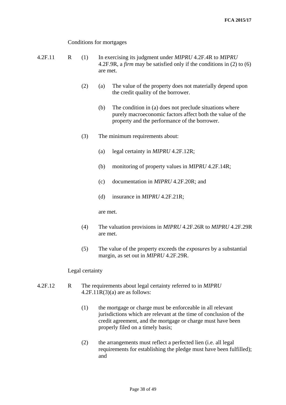Conditions for mortgages

4.2F.11 R (1) In exercising its judgment under *MIPRU* 4.2F.4R to *MIPRU* 4.2F.9R, a *firm* may be satisfied only if the conditions in (2) to (6) are met. (2) (a) The value of the property does not materially depend upon the credit quality of the borrower. (b) The condition in (a) does not preclude situations where purely macroeconomic factors affect both the value of the property and the performance of the borrower. (3) The minimum requirements about: (a) legal certainty in *MIPRU* 4.2F.12R;

- (b) monitoring of property values in *MIPRU* 4.2F.14R;
- (c) documentation in *MIPRU* 4.2F.20R; and
- (d) insurance in *MIPRU* 4.2F.21R;

are met.

- (4) The valuation provisions in *MIPRU* 4.2F.26R to *MIPRU* 4.2F.29R are met.
- (5) The value of the property exceeds the *exposures* by a substantial margin, as set out in *MIPRU* 4.2F.29R.

## Legal certainty

- 4.2F.12 R The requirements about legal certainty referred to in *MIPRU*   $4.2F.11R(3)(a)$  are as follows:
	- (1) the mortgage or charge must be enforceable in all relevant jurisdictions which are relevant at the time of conclusion of the credit agreement, and the mortgage or charge must have been properly filed on a timely basis;
	- (2) the arrangements must reflect a perfected lien (i.e. all legal requirements for establishing the pledge must have been fulfilled); and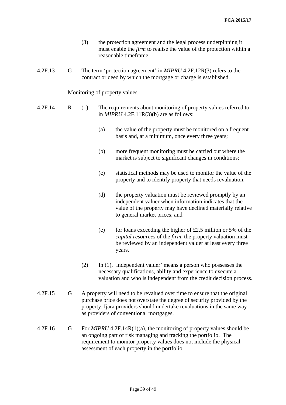- (3) the protection agreement and the legal process underpinning it must enable the *firm* to realise the value of the protection within a reasonable timeframe.
- 4.2F.13 G The term 'protection agreement' in *MIPRU* 4.2F.12R(3) refers to the contract or deed by which the mortgage or charge is established.

Monitoring of property values

- 4.2F.14 R (1) The requirements about monitoring of property values referred to in  $MIPRU$  4.2F.11R(3)(b) are as follows:
	- (a) the value of the property must be monitored on a frequent basis and, at a minimum, once every three years;
	- (b) more frequent monitoring must be carried out where the market is subject to significant changes in conditions;
	- (c) statistical methods may be used to monitor the value of the property and to identify property that needs revaluation;
	- (d) the property valuation must be reviewed promptly by an independent valuer when information indicates that the value of the property may have declined materially relative to general market prices; and
	- (e) for loans exceeding the higher of  $\text{\pounds}2.5$  million or 5% of the *capital resources* of the *firm*, the property valuation must be reviewed by an independent valuer at least every three years.
	- (2) In (1), 'independent valuer' means a person who possesses the necessary qualifications, ability and experience to execute a valuation and who is independent from the credit decision process.
- 4.2F.15 G A property will need to be revalued over time to ensure that the original purchase price does not overstate the degree of security provided by the property. Ijara providers should undertake revaluations in the same way as providers of conventional mortgages.
- 4.2F.16 G For *MIPRU* 4.2F.14R(1)(a), the monitoring of property values should be an ongoing part of risk managing and tracking the portfolio. The requirement to monitor property values does not include the physical assessment of each property in the portfolio.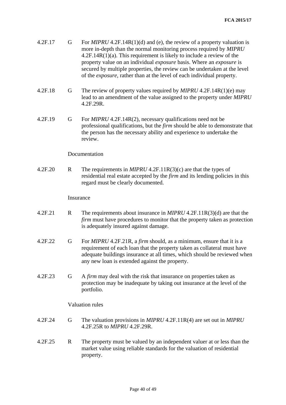| 4.2F.17 | G           | For $MIPRU$ 4.2F.14R(1)(d) and (e), the review of a property valuation is<br>more in-depth than the normal monitoring process required by MIPRU<br>$4.2F.14R(1)(a)$ . This requirement is likely to include a review of the<br>property value on an individual <i>exposure</i> basis. Where an <i>exposure</i> is<br>secured by multiple properties, the review can be undertaken at the level<br>of the <i>exposure</i> , rather than at the level of each individual property. |
|---------|-------------|----------------------------------------------------------------------------------------------------------------------------------------------------------------------------------------------------------------------------------------------------------------------------------------------------------------------------------------------------------------------------------------------------------------------------------------------------------------------------------|
| 4.2F.18 | G           | The review of property values required by $MIPRU$ 4.2F.14R(1)(e) may<br>lead to an amendment of the value assigned to the property under MIPRU<br>4.2F.29R.                                                                                                                                                                                                                                                                                                                      |
| 4.2F.19 | G           | For MIPRU 4.2F.14R(2), necessary qualifications need not be<br>professional qualifications, but the <i>firm</i> should be able to demonstrate that<br>the person has the necessary ability and experience to undertake the<br>review.                                                                                                                                                                                                                                            |
|         |             | Documentation                                                                                                                                                                                                                                                                                                                                                                                                                                                                    |
| 4.2F.20 | $\mathbf R$ | The requirements in <i>MIPRU</i> 4.2F.11R(3)(c) are that the types of<br>residential real estate accepted by the <i>firm</i> and its lending policies in this<br>regard must be clearly documented.                                                                                                                                                                                                                                                                              |
|         | Insurance   |                                                                                                                                                                                                                                                                                                                                                                                                                                                                                  |
| 4.2F.21 | $\mathbf R$ | The requirements about insurance in $MIPRU 4.2F.11R(3)(d)$ are that the<br><i>firm</i> must have procedures to monitor that the property taken as protection<br>is adequately insured against damage.                                                                                                                                                                                                                                                                            |
| 4.2F.22 | G           | For MIPRU 4.2F.21R, a firm should, as a minimum, ensure that it is a<br>requirement of each loan that the property taken as collateral must have<br>adequate buildings insurance at all times, which should be reviewed when<br>any new loan is extended against the property.                                                                                                                                                                                                   |
| 4.2F.23 | G           | A firm may deal with the risk that insurance on properties taken as<br>protection may be inadequate by taking out insurance at the level of the<br>portfolio.                                                                                                                                                                                                                                                                                                                    |
|         |             | <b>Valuation rules</b>                                                                                                                                                                                                                                                                                                                                                                                                                                                           |
| 4.2F.24 | G           | The valuation provisions in $MIPRU$ 4.2F.11R(4) are set out in $MIPRU$<br>4.2F.25R to MIPRU 4.2F.29R.                                                                                                                                                                                                                                                                                                                                                                            |
| 4.2F.25 | $\mathbf R$ | The property must be valued by an independent valuer at or less than the<br>market value using reliable standards for the valuation of residential<br>property.                                                                                                                                                                                                                                                                                                                  |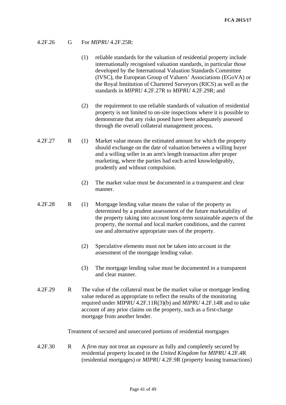## 4.2F.26 G For *MIPRU* 4.2F.25R:

- (1) reliable standards for the valuation of residential property include internationally recognised valuation standards, in particular those developed by the International Valuation Standards Committee (IVSC), the European Group of Valuers' Associations (EGoVA) or the Royal Institution of Chartered Surveyors (RICS) as well as the standards in *MIPRU* 4.2F.27R to *MIPRU* 4.2F.29R; and
- (2) the requirement to use reliable standards of valuation of residential property is not limited to on-site inspections where it is possible to demonstrate that any risks posed have been adequately assessed through the overall collateral management process.
- 4.2F.27 R (1) Market value means the estimated amount for which the property should exchange on the date of valuation between a willing buyer and a willing seller in an arm's length transaction after proper marketing, where the parties had each acted knowledgeably, prudently and without compulsion.
	- (2) The market value must be documented in a transparent and clear manner.
- 4.2F.28 R (1) Mortgage lending value means the value of the property as determined by a prudent assessment of the future marketability of the property taking into account long-term sustainable aspects of the property, the normal and local market conditions, and the current use and alternative appropriate uses of the property.
	- (2) Speculative elements must not be taken into account in the assessment of the mortgage lending value.
	- (3) The mortgage lending value must be documented in a transparent and clear manner.
- 4.2F.29 R The value of the collateral must be the market value or mortgage lending value reduced as appropriate to reflect the results of the monitoring required under *MIPRU* 4.2F.11R(3)(b) and *MIPRU* 4.2F.14R and to take account of any prior claims on the property, such as a first-charge mortgage from another lender.

Treatment of secured and unsecured portions of residential mortgages

4.2F.30 R A *firm* may not treat an *exposure* as fully and completely secured by residential property located in the *United Kingdom* for *MIPRU* 4.2F.4R (residential mortgages) or *MIPRU* 4.2F.9R (property leasing transactions)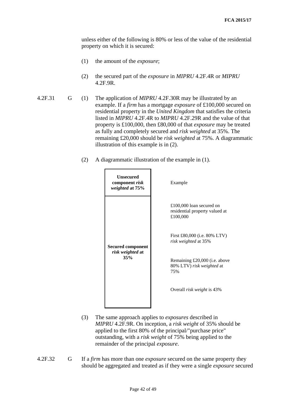unless either of the following is 80% or less of the value of the residential property on which it is secured:

- (1) the amount of the *exposure*;
- (2) the secured part of the *exposure* in *MIPRU* 4.2F.4R or *MIPRU*  4.2F.9R.
- 4.2F.31 G (1) The application of *MIPRU* 4.2F.30R may be illustrated by an example. If a *firm* has a mortgage *exposure* of £100,000 secured on residential property in the *United Kingdom* that satisfies the criteria listed in *MIPRU* 4.2F.4R to *MIPRU* 4.2F.29R and the value of that property is £100,000, then £80,000 of that *exposure* may be treated as fully and completely secured and *risk weighted* at 35%. The remaining £20,000 should be *risk weighted* at 75%. A diagrammatic illustration of this example is in (2).
	- (2) A diagrammatic illustration of the example in (1).



- (3) The same approach applies to *exposures* described in *MIPRU* 4.2F.9R. On inception, a *risk weight* of 35% should be applied to the first 80% of the principal/"purchase price" outstanding, with a *risk weight* of 75% being applied to the remainder of the principal *exposure*.
- 4.2F.32 G If a *firm* has more than one *exposure* secured on the same property they should be aggregated and treated as if they were a single *exposure* secured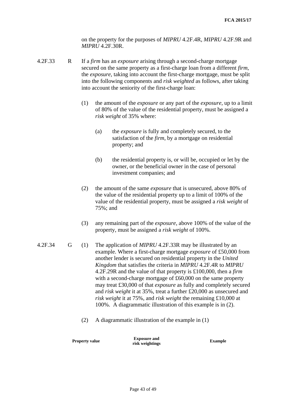on the property for the purposes of *MIPRU* 4.2F.4R, *MIPRU* 4.2F.9R and *MIPRU* 4.2F.30R.

- 4.2F.33 R If a *firm* has an *exposure* arising through a second-charge mortgage secured on the same property as a first-charge loan from a different *firm*, the *exposure*, taking into account the first-charge mortgage, must be split into the following components and *risk weighted* as follows, after taking into account the seniority of the first-charge loan:
	- (1) the amount of the *exposure* or any part of the *exposure*, up to a limit of 80% of the value of the residential property, must be assigned a *risk weight* of 35% where:
		- (a) the *exposure* is fully and completely secured, to the satisfaction of the *firm*, by a mortgage on residential property; and
		- (b) the residential property is, or will be, occupied or let by the owner, or the beneficial owner in the case of personal investment companies; and
	- (2) the amount of the same *exposure* that is unsecured, above 80% of the value of the residential property up to a limit of 100% of the value of the residential property, must be assigned a *risk weight* of 75%; and
	- (3) any remaining part of the *exposure*, above 100% of the value of the property, must be assigned a *risk weight* of 100%.
- 4.2F.34 G (1) The application of *MIPRU* 4.2F.33R may be illustrated by an example. Where a first-charge mortgage *exposure* of £50,000 from another lender is secured on residential property in the *United Kingdom* that satisfies the criteria in *MIPRU* 4.2F.4R to *MIPRU*  4.2F.29R and the value of that property is £100,000, then a *firm* with a second-charge mortgage of £60,000 on the same property may treat £30,000 of that *exposure* as fully and completely secured and *risk weight* it at 35%, treat a further £20,000 as unsecured and *risk weight* it at 75%, and *risk weight* the remaining £10,000 at 100%. A diagrammatic illustration of this example is in (2).
	- (2) A diagrammatic illustration of the example in (1)

**Property value Exposure and risk weightings Example**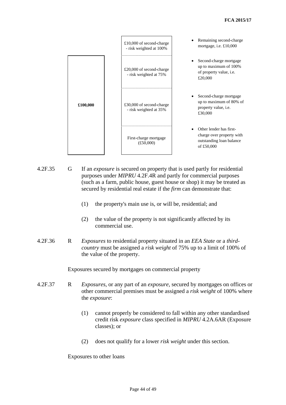|          | £10,000 of second-charge<br>- risk weighted at 100% | Remaining second-charge.<br>mortgage, i.e. £10,000                                             |
|----------|-----------------------------------------------------|------------------------------------------------------------------------------------------------|
|          | £20,000 of second-charge<br>- risk weighted at 75%  | Second-charge mortgage<br>up to maximum of 100%<br>of property value, i.e.<br>£20,000          |
| £100,000 | £30,000 of second-charge<br>- risk weighted at 35%  | Second-charge mortgage<br>up to maximum of 80% of<br>property value, i.e.<br>£30,000           |
|          | First-charge mortgage<br>(E50,000)                  | Other lender has first-<br>charge over property with<br>outstanding loan balance<br>of £50,000 |

- 4.2F.35 G If an *exposure* is secured on property that is used partly for residential purposes under *MIPRU* 4.2F.4R and partly for commercial purposes (such as a farm, public house, guest house or shop) it may be treated as secured by residential real estate if the *firm* can demonstrate that:
	- (1) the property's main use is, or will be, residential; and
	- (2) the value of the property is not significantly affected by its commercial use.
- 4.2F.36 R *Exposures* to residential property situated in an *EEA State* or a *thirdcountry* must be assigned a *risk weight* of 75% up to a limit of 100% of the value of the property.

Exposures secured by mortgages on commercial property

- 4.2F.37 R *Exposures*, or any part of an *exposure*, secured by mortgages on offices or other commercial premises must be assigned a *risk weight* of 100% where the *exposure*:
	- (1) cannot properly be considered to fall within any other standardised credit risk *exposure* class specified in *MIPRU* 4.2A.6AR (Exposure classes); or
	- (2) does not qualify for a lower *risk weight* under this section.

Exposures to other loans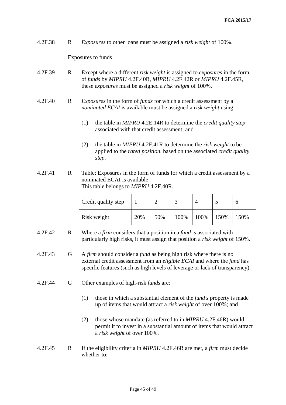4.2F.38 R *Exposures* to other loans must be assigned a *risk weight* of 100%.

Exposures to funds

- 4.2F.39 R Except where a different *risk weight* is assigned to *exposures* in the form of *funds* by *MIPRU* 4.2F.40R, *MIPRU* 4.2F.42R or *MIPRU* 4.2F.45R, these *exposures* must be assigned a *risk weight* of 100%.
- 4.2F.40 R *Exposures* in the form of *funds* for which a credit assessment by a *nominated ECAI* is available must be assigned a *risk weight* using:
	- (1) the table in *MIPRU* 4.2E.14R to determine the *credit quality step* associated with that credit assessment; and
	- (2) the table in *MIPRU* 4.2F.41R to determine the *risk weight* to be applied to the *rated position*, based on the associated *credit quality step*.
- 4.2F.41 R Table: Exposures in the form of funds for which a credit assessment by a nominated ECAI is available This table belongs to *MIPRU* 4.2F.40R.

| Credit quality step |     |     |      |         |      |      |
|---------------------|-----|-----|------|---------|------|------|
| Risk weight         | 20% | 50% | 100% | $100\%$ | 150% | 150% |

- 4.2F.42 R Where a *firm* considers that a position in a *fund* is associated with particularly high risks, it must assign that position a *risk weight* of 150%.
- 4.2F.43 G A *firm* should consider a *fund* as being high risk where there is no external credit assessment from an *eligible ECAI* and where the *fund* has specific features (such as high levels of leverage or lack of transparency).
- 4.2F.44 G Other examples of high-risk *funds* are:
	- (1) those in which a substantial element of the *fund's* property is made up of items that would attract a *risk weight* of over 100%; and
	- (2) those whose mandate (as referred to in *MIPRU* 4.2F.46R) would permit it to invest in a substantial amount of items that would attract a *risk weight* of over 100%.
- 4.2F.45 R If the eligibility criteria in *MIPRU* 4.2F.46R are met, a *firm* must decide whether to: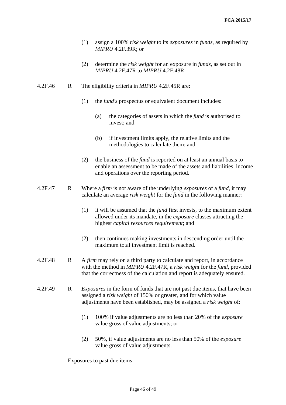- (1) assign a 100% *risk weight* to its *exposures* in *funds*, as required by *MIPRU* 4.2F.39R; or
- (2) determine the *risk weight* for an exposure in *funds*, as set out in *MIPRU* 4.2F.47R to *MIPRU* 4.2F.48R.
- 4.2F.46 R The eligibility criteria in *MIPRU* 4.2F.45R are:
	- (1) the *fund's* prospectus or equivalent document includes:
		- (a) the categories of assets in which the *fund* is authorised to invest; and
		- (b) if investment limits apply, the relative limits and the methodologies to calculate them; and
	- (2) the business of the *fund* is reported on at least an annual basis to enable an assessment to be made of the assets and liabilities, income and operations over the reporting period.
- 4.2F.47 R Where a *firm* is not aware of the underlying *exposures* of a *fund*, it may calculate an average *risk weight* for the *fund* in the following manner:
	- (1) it will be assumed that the *fund* first invests, to the maximum extent allowed under its mandate, in the *exposure* classes attracting the highest *capital resources requirement*; and
	- (2) then continues making investments in descending order until the maximum total investment limit is reached.
- 4.2F.48 R A *firm* may rely on a third party to calculate and report, in accordance with the method in *MIPRU* 4.2F.47R, a *risk weight* for the *fund*, provided that the correctness of the calculation and report is adequately ensured.
- 4.2F.49 R *Exposures* in the form of funds that are not past due items, that have been assigned a *risk weight* of 150% or greater, and for which value adjustments have been established, may be assigned a *risk weight* of:
	- (1) 100% if value adjustments are no less than 20% of the *exposure* value gross of value adjustments; or
	- (2) 50%, if value adjustments are no less than 50% of the *exposure* value gross of value adjustments.

Exposures to past due items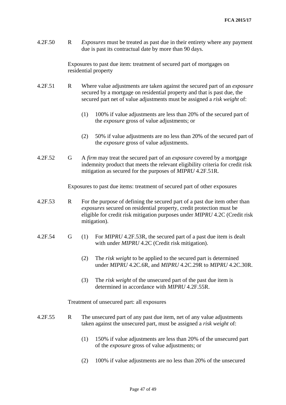4.2F.50 R *Exposures* must be treated as past due in their entirety where any payment due is past its contractual date by more than 90 days.

> Exposures to past due item: treatment of secured part of mortgages on residential property

- 4.2F.51 R Where value adjustments are taken against the secured part of an *exposure* secured by a mortgage on residential property and that is past due, the secured part net of value adjustments must be assigned a *risk weight* of:
	- (1) 100% if value adjustments are less than 20% of the secured part of the *exposure* gross of value adjustments; or
	- (2) 50% if value adjustments are no less than 20% of the secured part of the *exposure* gross of value adjustments.
- 4.2F.52 G A *firm* may treat the secured part of an *exposure* covered by a mortgage indemnity product that meets the relevant eligibility criteria for credit risk mitigation as secured for the purposes of *MIPRU* 4.2F.51R.

Exposures to past due items: treatment of secured part of other exposures

- 4.2F.53 R For the purpose of defining the secured part of a past due item other than *exposures* secured on residential property, credit protection must be eligible for credit risk mitigation purposes under *MIPRU* 4.2C (Credit risk mitigation).
- 4.2F.54 G (1) For *MIPRU* 4.2F.53R, the secured part of a past due item is dealt with under *MIPRU* 4.2C (Credit risk mitigation).
	- (2) The *risk weight* to be applied to the secured part is determined under *MIPRU* 4.2C.6R, and *MIPRU* 4.2C.29R to *MIPRU* 4.2C.30R.
	- (3) The *risk weight* of the unsecured part of the past due item is determined in accordance with *MIPRU* 4.2F.55R.

Treatment of unsecured part: all exposures

- 4.2F.55 R The unsecured part of any past due item, net of any value adjustments taken against the unsecured part, must be assigned a *risk weight* of:
	- (1) 150% if value adjustments are less than 20% of the unsecured part of the *exposure* gross of value adjustments; or
	- (2) 100% if value adjustments are no less than 20% of the unsecured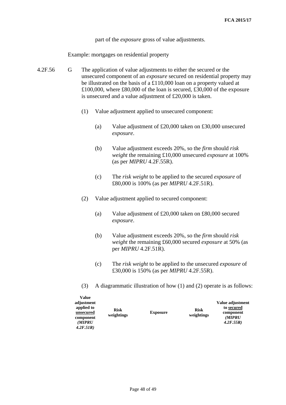part of the *exposure* gross of value adjustments.

Example: mortgages on residential property

- 4.2F.56 G The application of value adjustments to either the secured or the unsecured component of an *exposure* secured on residential property may be illustrated on the basis of a £110,000 loan on a property valued at £100,000, where £80,000 of the loan is secured, £30,000 of the exposure is unsecured and a value adjustment of £20,000 is taken.
	- (1) Value adjustment applied to unsecured component:
		- (a) Value adjustment of £20,000 taken on £30,000 unsecured *exposure*.
		- (b) Value adjustment exceeds 20%, so the *firm* should *risk weight* the remaining £10,000 unsecured *exposure* at 100% (as per *MIPRU* 4.2F.55R).
		- (c) The *risk weight* to be applied to the secured *exposure* of £80,000 is 100% (as per *MIPRU* 4.2F.51R).
	- (2) Value adjustment applied to secured component:
		- (a) Value adjustment of £20,000 taken on £80,000 secured *exposure*.
		- (b) Value adjustment exceeds 20%, so the *firm* should *risk weight* the remaining £60,000 secured *exposure* at 50% (as per *MIPRU* 4.2F.51R).
		- (c) The *risk weight* to be applied to the unsecured *exposure* of £30,000 is 150% (as per *MIPRU* 4.2F.55R).
	- (3) A diagrammatic illustration of how (1) and (2) operate is as follows:

| adjustment<br>applied to<br>unsecured<br>component<br>(MIPRU<br>4.2F.51R | Risk<br>weightings | <b>Exposure</b> | <b>Risk</b><br>weightings | Value adjustment<br>to secured<br>component<br>(MIPRU<br>4.2F.55R |
|--------------------------------------------------------------------------|--------------------|-----------------|---------------------------|-------------------------------------------------------------------|
|--------------------------------------------------------------------------|--------------------|-----------------|---------------------------|-------------------------------------------------------------------|

**Value**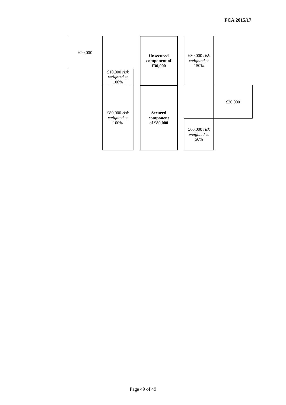